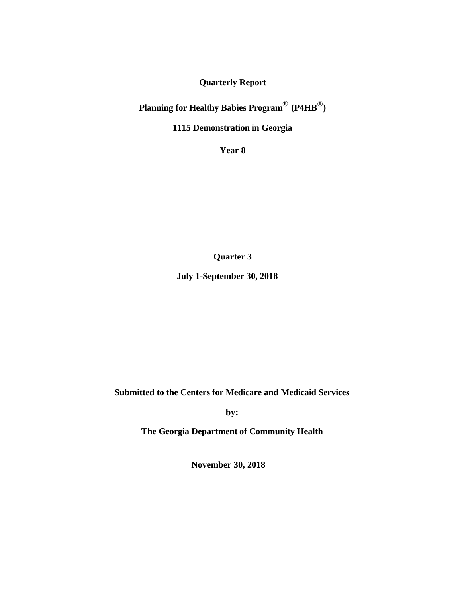**Quarterly Report**

**Planning for Healthy Babies Program**® **(P4HB**®**)**

**1115 Demonstration in Georgia**

**Year 8**

**Quarter 3**

**July 1-September 30, 2018**

**Submitted to the Centers for Medicare and Medicaid Services**

**by:**

**The Georgia Department of Community Health**

**November 30, 2018**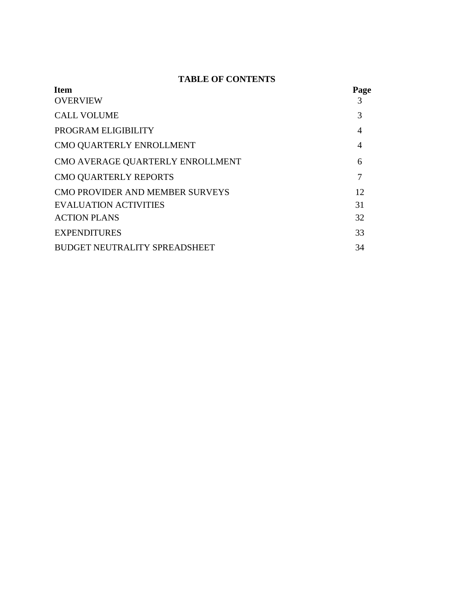## **TABLE OF CONTENTS**

| <b>Item</b>                          | Page |
|--------------------------------------|------|
| <b>OVERVIEW</b>                      |      |
| <b>CALL VOLUME</b>                   | 3    |
| PROGRAM ELIGIBILITY                  | 4    |
| CMO QUARTERLY ENROLLMENT             | 4    |
| CMO AVERAGE QUARTERLY ENROLLMENT     | 6    |
| CMO QUARTERLY REPORTS                |      |
| CMO PROVIDER AND MEMBER SURVEYS      | 12   |
| <b>EVALUATION ACTIVITIES</b>         | 31   |
| <b>ACTION PLANS</b>                  | 32   |
| <b>EXPENDITURES</b>                  | 33   |
| <b>BUDGET NEUTRALITY SPREADSHEET</b> | 34   |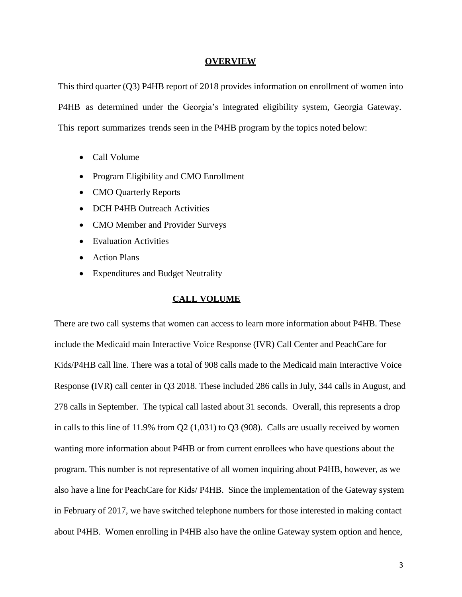#### **OVERVIEW**

This third quarter (Q3) P4HB report of 2018 provides information on enrollment of women into P4HB as determined under the Georgia's integrated eligibility system, Georgia Gateway. This report summarizes trends seen in the P4HB program by the topics noted below:

- Call Volume
- Program Eligibility and CMO Enrollment
- CMO Quarterly Reports
- DCH P4HB Outreach Activities
- CMO Member and Provider Surveys
- Evaluation Activities
- Action Plans
- Expenditures and Budget Neutrality

#### **CALL VOLUME**

There are two call systems that women can access to learn more information about P4HB. These include the Medicaid main Interactive Voice Response (IVR) Call Center and PeachCare for Kids/P4HB call line. There was a total of 908 calls made to the Medicaid main Interactive Voice Response **(**IVR**)** call center in Q3 2018. These included 286 calls in July, 344 calls in August, and 278 calls in September. The typical call lasted about 31 seconds. Overall, this represents a drop in calls to this line of 11.9% from Q2 (1,031) to Q3 (908). Calls are usually received by women wanting more information about P4HB or from current enrollees who have questions about the program. This number is not representative of all women inquiring about P4HB, however, as we also have a line for PeachCare for Kids/ P4HB. Since the implementation of the Gateway system in February of 2017, we have switched telephone numbers for those interested in making contact about P4HB. Women enrolling in P4HB also have the online Gateway system option and hence,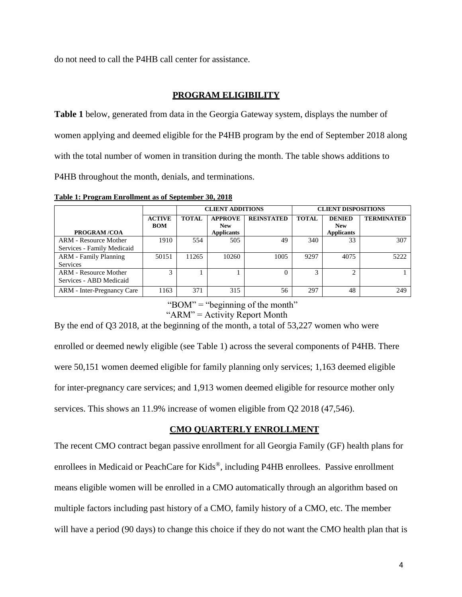do not need to call the P4HB call center for assistance.

## **PROGRAM ELIGIBILITY**

**Table 1** below, generated from data in the Georgia Gateway system, displays the number of women applying and deemed eligible for the P4HB program by the end of September 2018 along with the total number of women in transition during the month. The table shows additions to P4HB throughout the month, denials, and terminations.

**Table 1: Program Enrollment as of September 30, 2018**

|                                                         |                             |              | <b>CLIENT ADDITIONS</b>                           |                   | <b>CLIENT DISPOSITIONS</b> |                                                  |                   |  |
|---------------------------------------------------------|-----------------------------|--------------|---------------------------------------------------|-------------------|----------------------------|--------------------------------------------------|-------------------|--|
| <b>PROGRAM/COA</b>                                      | <b>ACTIVE</b><br><b>BOM</b> | <b>TOTAL</b> | <b>APPROVE</b><br><b>New</b><br><b>Applicants</b> | <b>REINSTATED</b> | <b>TOTAL</b>               | <b>DENIED</b><br><b>New</b><br><b>Applicants</b> | <b>TERMINATED</b> |  |
| ARM - Resource Mother<br>Services - Family Medicaid     | 1910                        | 554          | 505                                               | 49                | 340                        | 33                                               | 307               |  |
| <b>ARM - Family Planning</b><br><b>Services</b>         | 50151                       | 11265        | 10260                                             | 1005              | 9297                       | 4075                                             | 5222              |  |
| <b>ARM</b> - Resource Mother<br>Services - ABD Medicaid | 3                           |              |                                                   | $\Omega$          | $\mathbf{c}$               |                                                  |                   |  |
| ARM - Inter-Pregnancy Care                              | 1163                        | 371          | 315                                               | 56                | 297                        | 48                                               | 249               |  |

" $BOM$ " = "beginning of the month"

" $ARM$ " = Activity Report Month"

By the end of Q3 2018, at the beginning of the month, a total of 53,227 women who were enrolled or deemed newly eligible (see Table 1) across the several components of P4HB. There were 50,151 women deemed eligible for family planning only services; 1,163 deemed eligible for inter-pregnancy care services; and 1,913 women deemed eligible for resource mother only services. This shows an 11.9% increase of women eligible from Q2 2018 (47,546).

## **CMO QUARTERLY ENROLLMENT**

The recent CMO contract began passive enrollment for all Georgia Family (GF) health plans for enrollees in Medicaid or PeachCare for Kids®, including P4HB enrollees. Passive enrollment means eligible women will be enrolled in a CMO automatically through an algorithm based on multiple factors including past history of a CMO, family history of a CMO, etc. The member will have a period (90 days) to change this choice if they do not want the CMO health plan that is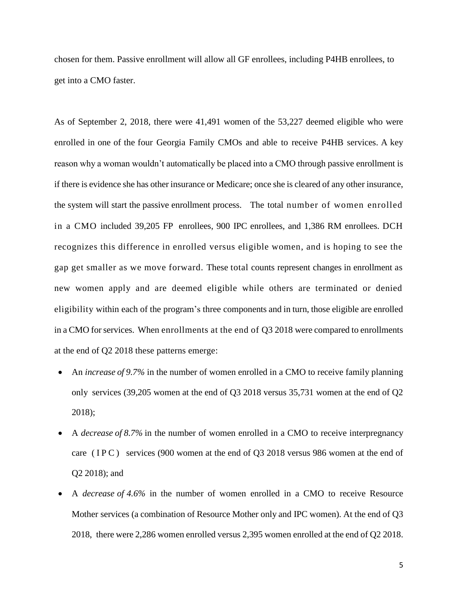chosen for them. Passive enrollment will allow all GF enrollees, including P4HB enrollees, to get into a CMO faster.

As of September 2, 2018, there were 41,491 women of the 53,227 deemed eligible who were enrolled in one of the four Georgia Family CMOs and able to receive P4HB services. A key reason why a woman wouldn't automatically be placed into a CMO through passive enrollment is if there is evidence she has other insurance or Medicare; once she is cleared of any other insurance, the system will start the passive enrollment process. The total number of women enrolled in a CMO included 39,205 FP enrollees, 900 IPC enrollees, and 1,386 RM enrollees. DCH recognizes this difference in enrolled versus eligible women, and is hoping to see the gap get smaller as we move forward. These total counts represent changes in enrollment as new women apply and are deemed eligible while others are terminated or denied eligibility within each of the program's three components and in turn, those eligible are enrolled in a CMO for services. When enrollments at the end of Q3 2018 were compared to enrollments at the end of Q2 2018 these patterns emerge:

- An *increase of 9.7%* in the number of women enrolled in a CMO to receive family planning only services (39,205 women at the end of Q3 2018 versus 35,731 women at the end of Q2 2018);
- A *decrease of 8.7%* in the number of women enrolled in a CMO to receive interpregnancy care ( $IPC$ ) services (900 women at the end of Q3 2018 versus 986 women at the end of Q2 2018); and
- A *decrease of 4.6%* in the number of women enrolled in a CMO to receive Resource Mother services (a combination of Resource Mother only and IPC women). At the end of Q3 2018, there were 2,286 women enrolled versus 2,395 women enrolled at the end of Q2 2018.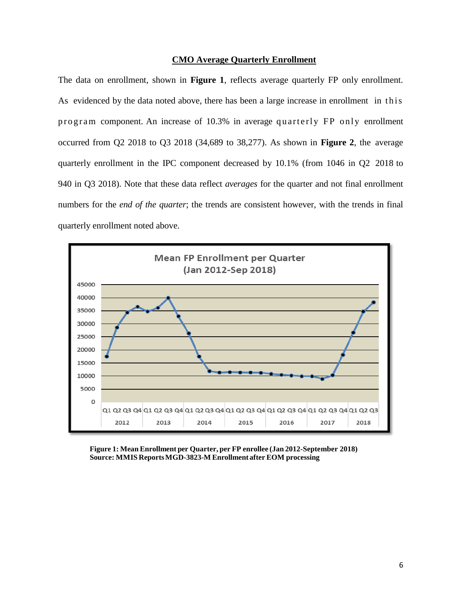#### **CMO Average Quarterly Enrollment**

The data on enrollment, shown in **Figure 1**, reflects average quarterly FP only enrollment. As evidenced by the data noted above, there has been a large increase in enrollment in this program component. An increase of 10.3% in average quarterly FP only enrollment occurred from Q2 2018 to Q3 2018 (34,689 to 38,277). As shown in **Figure 2**, the average quarterly enrollment in the IPC component decreased by 10.1% (from 1046 in Q2 2018 to 940 in Q3 2018). Note that these data reflect *averages* for the quarter and not final enrollment numbers for the *end of the quarter*; the trends are consistent however, with the trends in final quarterly enrollment noted above.



**Figure 1: Mean Enrollment per Quarter, per FP enrollee (Jan 2012-September 2018) Source: MMIS ReportsMGD-3823-M Enrollment after EOM processing**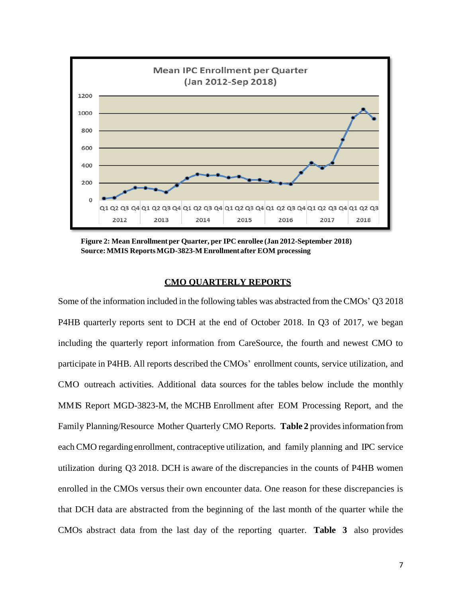

**Figure 2: Mean Enrollment per Quarter, per IPC enrollee (Jan 2012-September 2018) Source:MMIS ReportsMGD-3823-M Enrollment after EOM processing**

#### **CMO QUARTERLY REPORTS**

Some of the information included in the following tables was abstracted from the CMOs' Q3 2018 P4HB quarterly reports sent to DCH at the end of October 2018. In Q3 of 2017, we began including the quarterly report information from CareSource, the fourth and newest CMO to participate in P4HB. All reports described the CMOs' enrollment counts, service utilization, and CMO outreach activities. Additional data sources for the tables below include the monthly MMIS Report MGD-3823-M, the MCHB Enrollment after EOM Processing Report, and the Family Planning/Resource Mother Quarterly CMO Reports. **Table 2** providesinformation from each CMO regarding enrollment, contraceptive utilization, and family planning and IPC service utilization during Q3 2018. DCH is aware of the discrepancies in the counts of P4HB women enrolled in the CMOs versus their own encounter data. One reason for these discrepancies is that DCH data are abstracted from the beginning of the last month of the quarter while the CMOs abstract data from the last day of the reporting quarter. **Table 3** also provides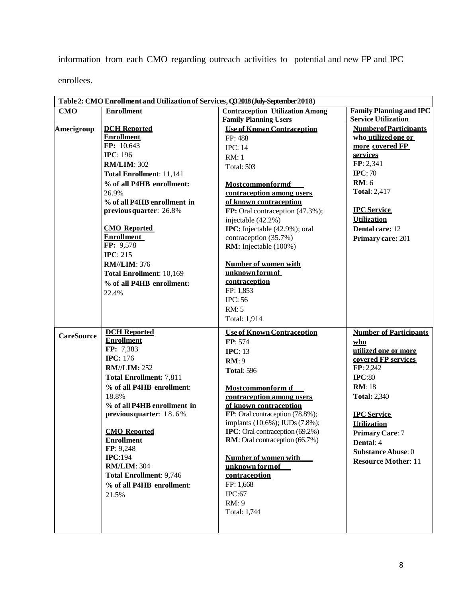information from each CMO regarding outreach activities to potential and new FP and IPC

enrollees.

| Table 2: CMO Enrollment and Utilization of Services, Q3 2018 (July-September 2018) |                                          |                                                                        |                                                              |  |  |  |  |  |
|------------------------------------------------------------------------------------|------------------------------------------|------------------------------------------------------------------------|--------------------------------------------------------------|--|--|--|--|--|
| <b>CMO</b>                                                                         | <b>Enrollment</b>                        | <b>Contraception Utilization Among</b><br><b>Family Planning Users</b> | <b>Family Planning and IPC</b><br><b>Service Utilization</b> |  |  |  |  |  |
|                                                                                    |                                          | <b>Use of Known Contraception</b>                                      |                                                              |  |  |  |  |  |
| Amerigroup                                                                         | <b>DCH</b> Reported<br><b>Enrollment</b> |                                                                        | <b>Number of Participants</b><br>who utilized one or         |  |  |  |  |  |
|                                                                                    | FP: 10,643                               | FP: 488                                                                | more covered FP                                              |  |  |  |  |  |
|                                                                                    | <b>IPC: 196</b>                          | <b>IPC: 14</b>                                                         | services                                                     |  |  |  |  |  |
|                                                                                    | <b>RM/LIM: 302</b>                       | <b>RM: 1</b>                                                           | FP: 2,341                                                    |  |  |  |  |  |
|                                                                                    |                                          | <b>Total: 503</b>                                                      | IPC: 70                                                      |  |  |  |  |  |
|                                                                                    | <b>Total Enrollment: 11,141</b>          |                                                                        | RM:6                                                         |  |  |  |  |  |
|                                                                                    | % of all P4HB enrollment:                | <b>Mostcommonformd</b>                                                 | <b>Total: 2,417</b>                                          |  |  |  |  |  |
|                                                                                    | 26.9%                                    | contraception among users                                              |                                                              |  |  |  |  |  |
|                                                                                    | % of all P4HB enrollment in              | of known contraception                                                 |                                                              |  |  |  |  |  |
|                                                                                    | previous quarter: 26.8%                  | FP: Oral contraception (47.3%);                                        | <b>IPC</b> Service                                           |  |  |  |  |  |
|                                                                                    |                                          | injectable (42.2%)                                                     | <b>Utilization</b>                                           |  |  |  |  |  |
|                                                                                    | <b>CMO</b> Reported<br><b>Enrollment</b> | <b>IPC:</b> Injectable (42.9%); oral                                   | Dental care: 12                                              |  |  |  |  |  |
|                                                                                    | FP: 9,578                                | contraception (35.7%)<br>RM: Injectable (100%)                         | Primary care: 201                                            |  |  |  |  |  |
|                                                                                    | IPC: $215$                               |                                                                        |                                                              |  |  |  |  |  |
|                                                                                    | <b>RM//LIM: 376</b>                      | <b>Number of women with</b>                                            |                                                              |  |  |  |  |  |
|                                                                                    | Total Enrollment: 10,169                 | unknown form of                                                        |                                                              |  |  |  |  |  |
|                                                                                    |                                          | contraception                                                          |                                                              |  |  |  |  |  |
|                                                                                    | % of all P4HB enrollment:                | FP: 1,853                                                              |                                                              |  |  |  |  |  |
|                                                                                    | 22.4%                                    | <b>IPC: 56</b>                                                         |                                                              |  |  |  |  |  |
|                                                                                    |                                          | <b>RM: 5</b>                                                           |                                                              |  |  |  |  |  |
|                                                                                    |                                          | Total: 1,914                                                           |                                                              |  |  |  |  |  |
|                                                                                    |                                          |                                                                        |                                                              |  |  |  |  |  |
| <b>CareSource</b>                                                                  | <b>DCH</b> Reported                      | <b>Use of Known Contraception</b>                                      | <b>Number of Participants</b>                                |  |  |  |  |  |
|                                                                                    | <b>Enrollment</b>                        | FP: 574                                                                | who                                                          |  |  |  |  |  |
|                                                                                    | FP: 7,383                                | IPC: $13$                                                              | utilized one or more                                         |  |  |  |  |  |
|                                                                                    | <b>IPC: 176</b>                          | RM:9                                                                   | covered FP services                                          |  |  |  |  |  |
|                                                                                    | <b>RM//LIM: 252</b>                      | <b>Total: 596</b>                                                      | FP: 2,242                                                    |  |  |  |  |  |
|                                                                                    | <b>Total Enrollment: 7,811</b>           |                                                                        | IPC:80                                                       |  |  |  |  |  |
|                                                                                    | % of all P4HB enrollment:                | Mostcommonform of                                                      | <b>RM</b> : 18                                               |  |  |  |  |  |
|                                                                                    | 18.8%                                    | contraception among users                                              | <b>Total: 2,340</b>                                          |  |  |  |  |  |
|                                                                                    | % of all P4HB enrollment in              | of known contraception                                                 |                                                              |  |  |  |  |  |
|                                                                                    | previous quarter: 18.6%                  | FP: Oral contraception (78.8%);                                        | <b>IPC Service</b>                                           |  |  |  |  |  |
|                                                                                    |                                          | implants (10.6%); IUDs (7.8%);                                         | <b>Utilization</b>                                           |  |  |  |  |  |
|                                                                                    | <b>CMO</b> Reported                      | <b>IPC</b> : Oral contraception (69.2%)                                | <b>Primary Care: 7</b>                                       |  |  |  |  |  |
|                                                                                    | <b>Enrollment</b>                        | RM: Oral contraception (66.7%)                                         | <b>Dental: 4</b>                                             |  |  |  |  |  |
|                                                                                    | FP: 9,248<br><b>IPC:194</b>              | <b>Number of women with</b>                                            | Substance Abuse: 0                                           |  |  |  |  |  |
|                                                                                    | <b>RM/LIM: 304</b>                       | unknown formof                                                         | <b>Resource Mother: 11</b>                                   |  |  |  |  |  |
|                                                                                    | <b>Total Enrollment: 9,746</b>           | contraception                                                          |                                                              |  |  |  |  |  |
|                                                                                    | % of all P4HB enrollment:                | FP: 1,668                                                              |                                                              |  |  |  |  |  |
|                                                                                    |                                          | IPC:67                                                                 |                                                              |  |  |  |  |  |
|                                                                                    | 21.5%                                    | RM: 9                                                                  |                                                              |  |  |  |  |  |
|                                                                                    |                                          | Total: 1,744                                                           |                                                              |  |  |  |  |  |
|                                                                                    |                                          |                                                                        |                                                              |  |  |  |  |  |
|                                                                                    |                                          |                                                                        |                                                              |  |  |  |  |  |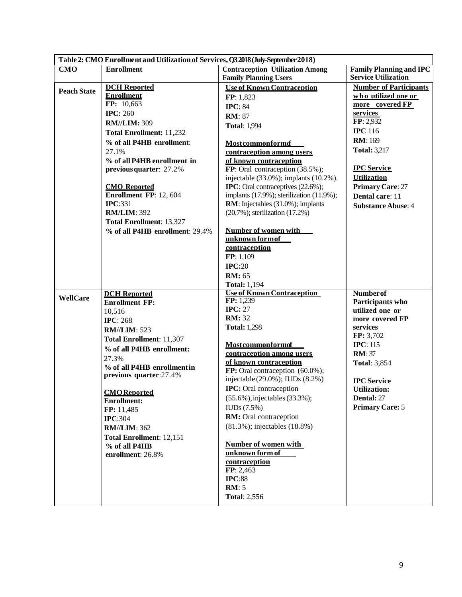|                    | Table 2: CMO Enrollment and Utilization of Services, Q3 2018 (July-September 2018) |                                                                     |                                |  |  |  |  |  |  |
|--------------------|------------------------------------------------------------------------------------|---------------------------------------------------------------------|--------------------------------|--|--|--|--|--|--|
| <b>CMO</b>         | <b>Enrollment</b>                                                                  | <b>Contraception Utilization Among</b>                              | <b>Family Planning and IPC</b> |  |  |  |  |  |  |
|                    |                                                                                    | <b>Family Planning Users</b>                                        | <b>Service Utilization</b>     |  |  |  |  |  |  |
| <b>Peach State</b> | <b>DCH</b> Reported                                                                | <b>Use of Known Contraception</b>                                   | <b>Number of Participants</b>  |  |  |  |  |  |  |
|                    | <b>Enrollment</b>                                                                  | FP: 1,823                                                           | who utilized one or            |  |  |  |  |  |  |
|                    | FP: 10,663                                                                         | <b>IPC: 84</b>                                                      | more covered FP                |  |  |  |  |  |  |
|                    | <b>IPC: 260</b>                                                                    | <b>RM</b> : 87                                                      | services                       |  |  |  |  |  |  |
|                    | <b>RM//LIM: 309</b>                                                                | <b>Total: 1,994</b>                                                 | FP: 2,932                      |  |  |  |  |  |  |
|                    | <b>Total Enrollment: 11,232</b>                                                    |                                                                     | <b>IPC</b> 116                 |  |  |  |  |  |  |
|                    | % of all P4HB enrollment:                                                          | <b>Mostcommonformd</b>                                              | <b>RM</b> : 169                |  |  |  |  |  |  |
|                    | 27.1%                                                                              | contraception among users                                           | <b>Total: 3,217</b>            |  |  |  |  |  |  |
|                    | % of all P4HB enrollment in                                                        | of known contraception                                              |                                |  |  |  |  |  |  |
|                    | previous quarter: 27.2%                                                            | FP: Oral contraception (38.5%);                                     | <b>IPC</b> Service             |  |  |  |  |  |  |
|                    |                                                                                    | injectable $(33.0\%)$ ; implants $(10.2\%)$ .                       | <b>Utilization</b>             |  |  |  |  |  |  |
|                    | <b>CMO</b> Reported                                                                | <b>IPC</b> : Oral contraceptives (22.6%);                           | <b>Primary Care: 27</b>        |  |  |  |  |  |  |
|                    | Enrollment FP: 12, 604<br><b>IPC:331</b>                                           | implants $(17.9\%)$ ; sterilization $(11.9\%)$ ;                    | Dental care: 11                |  |  |  |  |  |  |
|                    | <b>RM/LIM: 392</b>                                                                 | RM: Injectables (31.0%); implants<br>(20.7%); sterilization (17.2%) | <b>Substance Abuse: 4</b>      |  |  |  |  |  |  |
|                    | <b>Total Enrollment: 13,327</b>                                                    |                                                                     |                                |  |  |  |  |  |  |
|                    | % of all P4HB enrollment: 29.4%                                                    | Number of women with                                                |                                |  |  |  |  |  |  |
|                    |                                                                                    | unknown formof                                                      |                                |  |  |  |  |  |  |
|                    |                                                                                    | contraception                                                       |                                |  |  |  |  |  |  |
|                    |                                                                                    | FP: 1,109                                                           |                                |  |  |  |  |  |  |
|                    |                                                                                    | IPC:20                                                              |                                |  |  |  |  |  |  |
|                    |                                                                                    | <b>RM</b> : 65                                                      |                                |  |  |  |  |  |  |
|                    |                                                                                    | <b>Total: 1,194</b>                                                 |                                |  |  |  |  |  |  |
| WellCare           | <b>DCH</b> Reported                                                                | <b>Use of Known Contraception</b>                                   | <b>Numberof</b>                |  |  |  |  |  |  |
|                    | <b>Enrollment FP:</b>                                                              | $\overline{FP: 1,239}$                                              | Participants who               |  |  |  |  |  |  |
|                    | 10,516                                                                             | <b>IPC: 27</b>                                                      | utilized one or                |  |  |  |  |  |  |
|                    | <b>IPC: 268</b>                                                                    | <b>RM</b> : 32                                                      | more covered FP                |  |  |  |  |  |  |
|                    | <b>RM//LIM: 523</b>                                                                | <b>Total: 1,298</b>                                                 | services<br>FP: 3,702          |  |  |  |  |  |  |
|                    | Total Enrollment: 11,307                                                           | <b>Mostcommonformof</b>                                             | <b>IPC: 115</b>                |  |  |  |  |  |  |
|                    | % of all P4HB enrollment:                                                          | contraception among users                                           | <b>RM</b> : 37                 |  |  |  |  |  |  |
|                    | 27.3%                                                                              | of known contraception                                              | <b>Total: 3,854</b>            |  |  |  |  |  |  |
|                    | % of all P4HB enrollment in                                                        | FP: Oral contraception (60.0%);                                     |                                |  |  |  |  |  |  |
|                    | previous quarter:27.4%                                                             | injectable (29.0%); IUDs (8.2%)                                     | <b>IPC</b> Service             |  |  |  |  |  |  |
|                    |                                                                                    | <b>IPC:</b> Oral contraception                                      | <b>Utilization:</b>            |  |  |  |  |  |  |
|                    | <b>CMO</b> Reported<br><b>Enrollment:</b>                                          | (55.6%), injectables (33.3%);                                       | Dental: 27                     |  |  |  |  |  |  |
|                    | FP: 11,485                                                                         | $\text{IUDs} (7.5\%)$                                               | <b>Primary Care: 5</b>         |  |  |  |  |  |  |
|                    | <b>IPC:304</b>                                                                     | RM: Oral contraception                                              |                                |  |  |  |  |  |  |
|                    | <b>RM//LIM: 362</b>                                                                | (81.3%); injectables (18.8%)                                        |                                |  |  |  |  |  |  |
|                    | <b>Total Enrollment: 12,151</b>                                                    |                                                                     |                                |  |  |  |  |  |  |
|                    | % of all P4HB                                                                      | <b>Number of women with</b>                                         |                                |  |  |  |  |  |  |
|                    | enrollment: 26.8%                                                                  | unknown form of                                                     |                                |  |  |  |  |  |  |
|                    |                                                                                    | contraception                                                       |                                |  |  |  |  |  |  |
|                    |                                                                                    | FP: 2,463                                                           |                                |  |  |  |  |  |  |
|                    |                                                                                    | IPC:88                                                              |                                |  |  |  |  |  |  |
|                    |                                                                                    | <b>RM</b> : 5                                                       |                                |  |  |  |  |  |  |
|                    |                                                                                    | <b>Total: 2,556</b>                                                 |                                |  |  |  |  |  |  |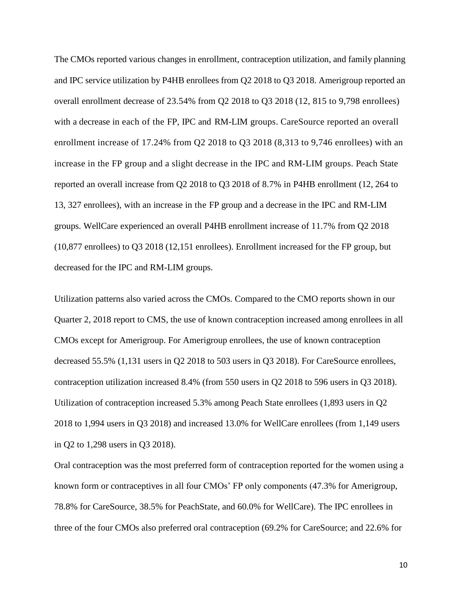The CMOs reported various changes in enrollment, contraception utilization, and family planning and IPC service utilization by P4HB enrollees from Q2 2018 to Q3 2018. Amerigroup reported an overall enrollment decrease of 23.54% from Q2 2018 to Q3 2018 (12, 815 to 9,798 enrollees) with a decrease in each of the FP, IPC and RM-LIM groups. CareSource reported an overall enrollment increase of 17.24% from Q2 2018 to Q3 2018 (8,313 to 9,746 enrollees) with an increase in the FP group and a slight decrease in the IPC and RM-LIM groups. Peach State reported an overall increase from Q2 2018 to Q3 2018 of 8.7% in P4HB enrollment (12, 264 to 13, 327 enrollees), with an increase in the FP group and a decrease in the IPC and RM-LIM groups. WellCare experienced an overall P4HB enrollment increase of 11.7% from Q2 2018 (10,877 enrollees) to Q3 2018 (12,151 enrollees). Enrollment increased for the FP group, but decreased for the IPC and RM-LIM groups.

Utilization patterns also varied across the CMOs. Compared to the CMO reports shown in our Quarter 2, 2018 report to CMS, the use of known contraception increased among enrollees in all CMOs except for Amerigroup. For Amerigroup enrollees, the use of known contraception decreased 55.5% (1,131 users in Q2 2018 to 503 users in Q3 2018). For CareSource enrollees, contraception utilization increased 8.4% (from 550 users in Q2 2018 to 596 users in Q3 2018). Utilization of contraception increased 5.3% among Peach State enrollees (1,893 users in Q2 2018 to 1,994 users in Q3 2018) and increased 13.0% for WellCare enrollees (from 1,149 users in Q2 to 1,298 users in Q3 2018).

Oral contraception was the most preferred form of contraception reported for the women using a known form or contraceptives in all four CMOs' FP only components (47.3% for Amerigroup, 78.8% for CareSource, 38.5% for PeachState, and 60.0% for WellCare). The IPC enrollees in three of the four CMOs also preferred oral contraception (69.2% for CareSource; and 22.6% for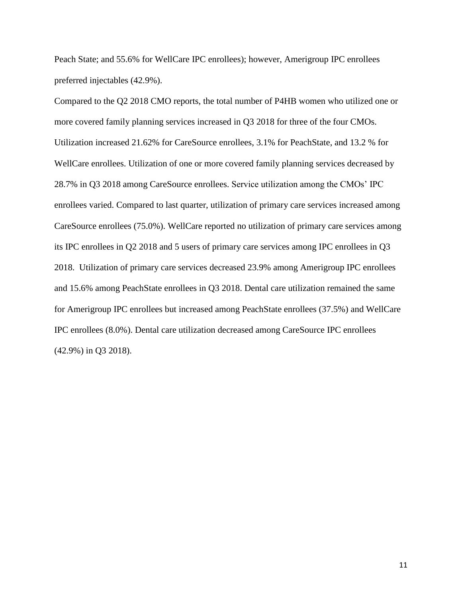Peach State; and 55.6% for WellCare IPC enrollees); however, Amerigroup IPC enrollees preferred injectables (42.9%).

Compared to the Q2 2018 CMO reports, the total number of P4HB women who utilized one or more covered family planning services increased in Q3 2018 for three of the four CMOs. Utilization increased 21.62% for CareSource enrollees, 3.1% for PeachState, and 13.2 % for WellCare enrollees. Utilization of one or more covered family planning services decreased by 28.7% in Q3 2018 among CareSource enrollees. Service utilization among the CMOs' IPC enrollees varied. Compared to last quarter, utilization of primary care services increased among CareSource enrollees (75.0%). WellCare reported no utilization of primary care services among its IPC enrollees in Q2 2018 and 5 users of primary care services among IPC enrollees in Q3 2018. Utilization of primary care services decreased 23.9% among Amerigroup IPC enrollees and 15.6% among PeachState enrollees in Q3 2018. Dental care utilization remained the same for Amerigroup IPC enrollees but increased among PeachState enrollees (37.5%) and WellCare IPC enrollees (8.0%). Dental care utilization decreased among CareSource IPC enrollees (42.9%) in Q3 2018).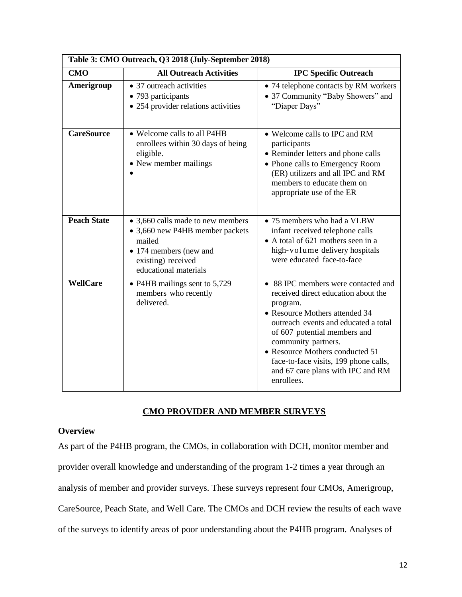| Table 3: CMO Outreach, Q3 2018 (July-September 2018) |                                                                                                                                                         |                                                                                                                                                                                                                                                                                                                                                        |  |  |  |  |  |
|------------------------------------------------------|---------------------------------------------------------------------------------------------------------------------------------------------------------|--------------------------------------------------------------------------------------------------------------------------------------------------------------------------------------------------------------------------------------------------------------------------------------------------------------------------------------------------------|--|--|--|--|--|
| <b>CMO</b>                                           | <b>All Outreach Activities</b>                                                                                                                          | <b>IPC Specific Outreach</b>                                                                                                                                                                                                                                                                                                                           |  |  |  |  |  |
| Amerigroup                                           | • 37 outreach activities<br>• 793 participants<br>• 254 provider relations activities                                                                   | • 74 telephone contacts by RM workers<br>• 37 Community "Baby Showers" and<br>"Diaper Days"                                                                                                                                                                                                                                                            |  |  |  |  |  |
| <b>CareSource</b>                                    | • Welcome calls to all P4HB<br>enrollees within 30 days of being<br>eligible.<br>• New member mailings                                                  | • Welcome calls to IPC and RM<br>participants<br>• Reminder letters and phone calls<br>• Phone calls to Emergency Room<br>(ER) utilizers and all IPC and RM<br>members to educate them on<br>appropriate use of the ER                                                                                                                                 |  |  |  |  |  |
| <b>Peach State</b>                                   | • 3,660 calls made to new members<br>• 3,660 new P4HB member packets<br>mailed<br>• 174 members (new and<br>existing) received<br>educational materials | • 75 members who had a VLBW<br>infant received telephone calls<br>• A total of 621 mothers seen in a<br>high-volume delivery hospitals<br>were educated face-to-face                                                                                                                                                                                   |  |  |  |  |  |
| <b>WellCare</b>                                      | • P4HB mailings sent to 5,729<br>members who recently<br>delivered.                                                                                     | • 88 IPC members were contacted and<br>received direct education about the<br>program.<br>• Resource Mothers attended 34<br>outreach events and educated a total<br>of 607 potential members and<br>community partners.<br>• Resource Mothers conducted 51<br>face-to-face visits, 199 phone calls,<br>and 67 care plans with IPC and RM<br>enrollees. |  |  |  |  |  |

# **CMO PROVIDER AND MEMBER SURVEYS**

## **Overview**

As part of the P4HB program, the CMOs, in collaboration with DCH, monitor member and provider overall knowledge and understanding of the program 1-2 times a year through an analysis of member and provider surveys. These surveys represent four CMOs, Amerigroup, CareSource, Peach State, and Well Care. The CMOs and DCH review the results of each wave of the surveys to identify areas of poor understanding about the P4HB program. Analyses of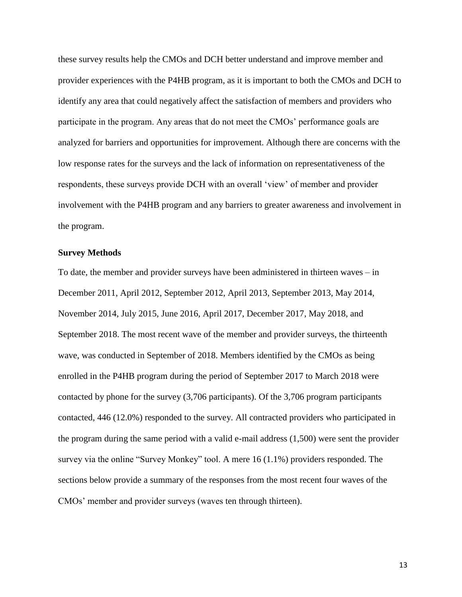these survey results help the CMOs and DCH better understand and improve member and provider experiences with the P4HB program, as it is important to both the CMOs and DCH to identify any area that could negatively affect the satisfaction of members and providers who participate in the program. Any areas that do not meet the CMOs' performance goals are analyzed for barriers and opportunities for improvement. Although there are concerns with the low response rates for the surveys and the lack of information on representativeness of the respondents, these surveys provide DCH with an overall 'view' of member and provider involvement with the P4HB program and any barriers to greater awareness and involvement in the program.

#### **Survey Methods**

To date, the member and provider surveys have been administered in thirteen waves – in December 2011, April 2012, September 2012, April 2013, September 2013, May 2014, November 2014, July 2015, June 2016, April 2017, December 2017, May 2018, and September 2018. The most recent wave of the member and provider surveys, the thirteenth wave, was conducted in September of 2018. Members identified by the CMOs as being enrolled in the P4HB program during the period of September 2017 to March 2018 were contacted by phone for the survey (3,706 participants). Of the 3,706 program participants contacted, 446 (12.0%) responded to the survey. All contracted providers who participated in the program during the same period with a valid e-mail address (1,500) were sent the provider survey via the online "Survey Monkey" tool. A mere 16 (1.1%) providers responded. The sections below provide a summary of the responses from the most recent four waves of the CMOs' member and provider surveys (waves ten through thirteen).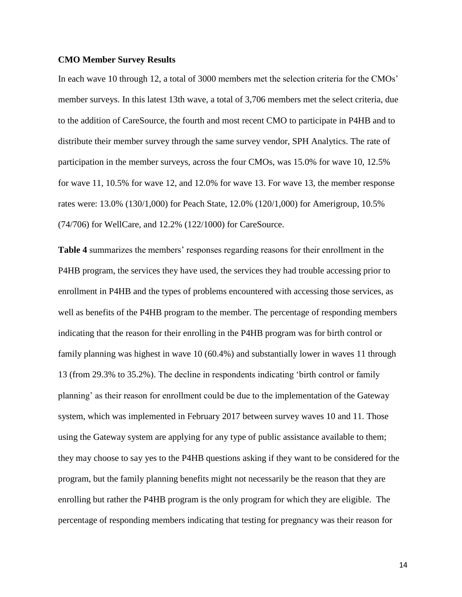#### **CMO Member Survey Results**

In each wave 10 through 12, a total of 3000 members met the selection criteria for the CMOs' member surveys. In this latest 13th wave, a total of 3,706 members met the select criteria, due to the addition of CareSource, the fourth and most recent CMO to participate in P4HB and to distribute their member survey through the same survey vendor, SPH Analytics. The rate of participation in the member surveys, across the four CMOs, was 15.0% for wave 10, 12.5% for wave 11, 10.5% for wave 12, and 12.0% for wave 13. For wave 13, the member response rates were: 13.0% (130/1,000) for Peach State, 12.0% (120/1,000) for Amerigroup, 10.5% (74/706) for WellCare, and 12.2% (122/1000) for CareSource.

**Table 4** summarizes the members' responses regarding reasons for their enrollment in the P4HB program, the services they have used, the services they had trouble accessing prior to enrollment in P4HB and the types of problems encountered with accessing those services, as well as benefits of the P4HB program to the member. The percentage of responding members indicating that the reason for their enrolling in the P4HB program was for birth control or family planning was highest in wave 10 (60.4%) and substantially lower in waves 11 through 13 (from 29.3% to 35.2%). The decline in respondents indicating 'birth control or family planning' as their reason for enrollment could be due to the implementation of the Gateway system, which was implemented in February 2017 between survey waves 10 and 11. Those using the Gateway system are applying for any type of public assistance available to them; they may choose to say yes to the P4HB questions asking if they want to be considered for the program, but the family planning benefits might not necessarily be the reason that they are enrolling but rather the P4HB program is the only program for which they are eligible. The percentage of responding members indicating that testing for pregnancy was their reason for

14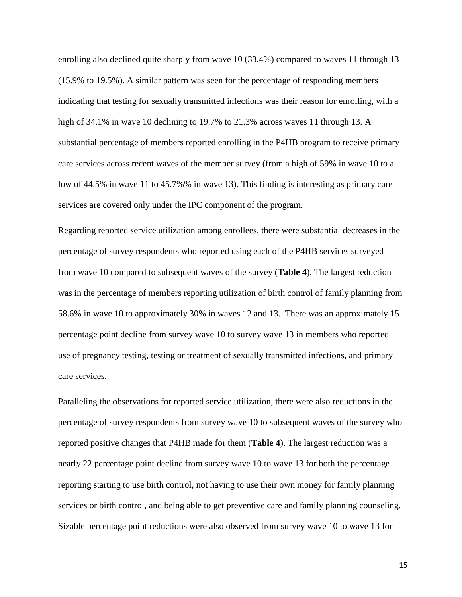enrolling also declined quite sharply from wave 10 (33.4%) compared to waves 11 through 13 (15.9% to 19.5%). A similar pattern was seen for the percentage of responding members indicating that testing for sexually transmitted infections was their reason for enrolling, with a high of 34.1% in wave 10 declining to 19.7% to 21.3% across waves 11 through 13. A substantial percentage of members reported enrolling in the P4HB program to receive primary care services across recent waves of the member survey (from a high of 59% in wave 10 to a low of 44.5% in wave 11 to 45.7%% in wave 13). This finding is interesting as primary care services are covered only under the IPC component of the program.

Regarding reported service utilization among enrollees, there were substantial decreases in the percentage of survey respondents who reported using each of the P4HB services surveyed from wave 10 compared to subsequent waves of the survey (**Table 4**). The largest reduction was in the percentage of members reporting utilization of birth control of family planning from 58.6% in wave 10 to approximately 30% in waves 12 and 13. There was an approximately 15 percentage point decline from survey wave 10 to survey wave 13 in members who reported use of pregnancy testing, testing or treatment of sexually transmitted infections, and primary care services.

Paralleling the observations for reported service utilization, there were also reductions in the percentage of survey respondents from survey wave 10 to subsequent waves of the survey who reported positive changes that P4HB made for them (**Table 4**). The largest reduction was a nearly 22 percentage point decline from survey wave 10 to wave 13 for both the percentage reporting starting to use birth control, not having to use their own money for family planning services or birth control, and being able to get preventive care and family planning counseling. Sizable percentage point reductions were also observed from survey wave 10 to wave 13 for

15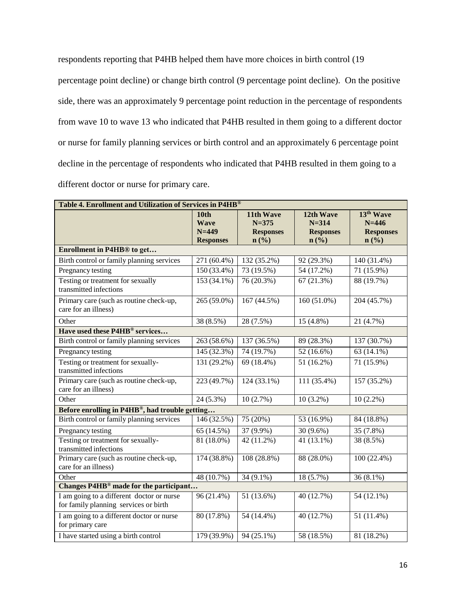respondents reporting that P4HB helped them have more choices in birth control (19 percentage point decline) or change birth control (9 percentage point decline). On the positive side, there was an approximately 9 percentage point reduction in the percentage of respondents from wave 10 to wave 13 who indicated that P4HB resulted in them going to a different doctor or nurse for family planning services or birth control and an approximately 6 percentage point decline in the percentage of respondents who indicated that P4HB resulted in them going to a different doctor or nurse for primary care.

| Table 4. Enrollment and Utilization of Services in P4HB®                           |                                                             |                                                                           |                                                                           |                                                                |  |  |  |  |  |
|------------------------------------------------------------------------------------|-------------------------------------------------------------|---------------------------------------------------------------------------|---------------------------------------------------------------------------|----------------------------------------------------------------|--|--|--|--|--|
|                                                                                    | <b>10th</b><br><b>Wave</b><br>$N = 449$<br><b>Responses</b> | 11th Wave<br>$N = 375$<br><b>Responses</b><br>$n\left(\frac{9}{6}\right)$ | 12th Wave<br>$N = 314$<br><b>Responses</b><br>$n\left(\frac{0}{0}\right)$ | 13 <sup>th</sup> Wave<br>$N = 446$<br><b>Responses</b><br>n(%) |  |  |  |  |  |
| Enrollment in P4HB <sup>®</sup> to get                                             |                                                             |                                                                           |                                                                           |                                                                |  |  |  |  |  |
| Birth control or family planning services                                          | $\overline{271}$ (60.4%)                                    | 132(35.2%)                                                                | 92 (29.3%)                                                                | $140(31.4\%)$                                                  |  |  |  |  |  |
| Pregnancy testing                                                                  | 150 (33.4%)                                                 | 73 (19.5%)                                                                | 54 (17.2%)                                                                | 71 (15.9%)                                                     |  |  |  |  |  |
| Testing or treatment for sexually<br>transmitted infections                        | 153 (34.1%)                                                 | 76 (20.3%)                                                                | 67(21.3%)                                                                 | 88 (19.7%)                                                     |  |  |  |  |  |
| Primary care (such as routine check-up,<br>care for an illness)                    | 265 (59.0%)                                                 | 167 (44.5%)                                                               | $160(51.0\%)$                                                             | 204 (45.7%)                                                    |  |  |  |  |  |
| Other                                                                              | 38 (8.5%)                                                   | 28 (7.5%)                                                                 | $15(4.8\%)$                                                               | 21 (4.7%)                                                      |  |  |  |  |  |
| Have used these P4HB® services                                                     |                                                             |                                                                           |                                                                           |                                                                |  |  |  |  |  |
| Birth control or family planning services                                          | 263 (58.6%)                                                 | 137 (36.5%)                                                               | 89 (28.3%)                                                                | 137 (30.7%)                                                    |  |  |  |  |  |
| Pregnancy testing                                                                  | 145(32.3%)                                                  | 74(19.7%)                                                                 | 52(16.6%)                                                                 | $63(14.1\%)$                                                   |  |  |  |  |  |
| Testing or treatment for sexually-<br>transmitted infections                       | 131 (29.2%)                                                 | 69 (18.4%)                                                                | 51 (16.2%)                                                                | 71 (15.9%)                                                     |  |  |  |  |  |
| Primary care (such as routine check-up,<br>care for an illness)                    | 223 (49.7%)                                                 | 124 (33.1%)                                                               | 111 (35.4%)                                                               | 157 (35.2%)                                                    |  |  |  |  |  |
| Other                                                                              | $24(5.3\%)$                                                 | 10(2.7%)                                                                  | $10(3.2\%)$                                                               | $10(2.2\%)$                                                    |  |  |  |  |  |
| Before enrolling in P4HB®, had trouble getting                                     |                                                             |                                                                           |                                                                           |                                                                |  |  |  |  |  |
| Birth control or family planning services                                          | 146 (32.5%)                                                 | 75 (20%)                                                                  | 53 (16.9%)                                                                | 84 (18.8%)                                                     |  |  |  |  |  |
| Pregnancy testing                                                                  | 65 (14.5%)                                                  | 37 (9.9%)                                                                 | 30 (9.6%)                                                                 | 35 (7.8%)                                                      |  |  |  |  |  |
| Testing or treatment for sexually-<br>transmitted infections                       | 81 (18.0%)                                                  | 42 (11.2%)                                                                | 41 (13.1%)                                                                | 38 (8.5%)                                                      |  |  |  |  |  |
| Primary care (such as routine check-up,<br>care for an illness)                    | 174 (38.8%)                                                 | 108 (28.8%)                                                               | 88 (28.0%)                                                                | $100(22.4\%)$                                                  |  |  |  |  |  |
| Other                                                                              | 48(10.7%)                                                   | $34(9.1\%)$                                                               | $18(5.7\%)$                                                               | $36(8.1\%)$                                                    |  |  |  |  |  |
| Changes P4HB <sup>®</sup> made for the participant                                 |                                                             |                                                                           |                                                                           |                                                                |  |  |  |  |  |
| I am going to a different doctor or nurse<br>for family planning services or birth | 96 (21.4%)                                                  | 51 (13.6%)                                                                | 40 (12.7%)                                                                | 54 (12.1%)                                                     |  |  |  |  |  |
| I am going to a different doctor or nurse<br>for primary care                      | 80 (17.8%)                                                  | 54 (14.4%)                                                                | 40 (12.7%)                                                                | 51 (11.4%)                                                     |  |  |  |  |  |
| I have started using a birth control                                               | 179 (39.9%)                                                 | 94 (25.1%)                                                                | 58 (18.5%)                                                                | 81 (18.2%)                                                     |  |  |  |  |  |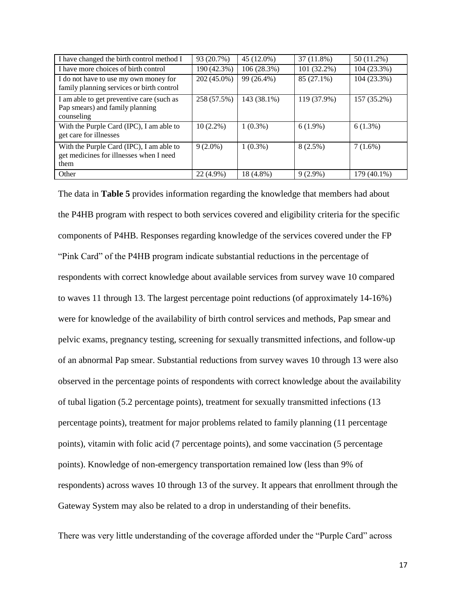| I have changed the birth control method I                                                   | 93 (20.7%)  | 45 (12.0%)  | 37(11.8%)   | 50 (11.2%)  |
|---------------------------------------------------------------------------------------------|-------------|-------------|-------------|-------------|
| I have more choices of birth control                                                        | 190 (42.3%) | 106(28.3%)  | 101 (32.2%) | 104 (23.3%) |
| I do not have to use my own money for<br>family planning services or birth control          | 202 (45.0%) | 99 (26.4%)  | 85 (27.1%)  | 104 (23.3%) |
| I am able to get preventive care (such as<br>Pap smears) and family planning<br>counseling  | 258 (57.5%) | 143 (38.1%) | 119 (37.9%) | 157 (35.2%) |
| With the Purple Card (IPC), I am able to<br>get care for illnesses                          | $10(2.2\%)$ | $1(0.3\%)$  | $6(1.9\%)$  | $6(1.3\%)$  |
| With the Purple Card (IPC), I am able to<br>get medicines for illnesses when I need<br>them | $9(2.0\%)$  | $1(0.3\%)$  | 8(2.5%)     | 7(1.6%)     |
| Other                                                                                       | 22 (4.9%)   | 18 (4.8%)   | $9(2.9\%)$  | 179 (40.1%) |

The data in **Table 5** provides information regarding the knowledge that members had about the P4HB program with respect to both services covered and eligibility criteria for the specific components of P4HB. Responses regarding knowledge of the services covered under the FP "Pink Card" of the P4HB program indicate substantial reductions in the percentage of respondents with correct knowledge about available services from survey wave 10 compared to waves 11 through 13. The largest percentage point reductions (of approximately 14-16%) were for knowledge of the availability of birth control services and methods, Pap smear and pelvic exams, pregnancy testing, screening for sexually transmitted infections, and follow-up of an abnormal Pap smear. Substantial reductions from survey waves 10 through 13 were also observed in the percentage points of respondents with correct knowledge about the availability of tubal ligation (5.2 percentage points), treatment for sexually transmitted infections (13 percentage points), treatment for major problems related to family planning (11 percentage points), vitamin with folic acid (7 percentage points), and some vaccination (5 percentage points). Knowledge of non-emergency transportation remained low (less than 9% of respondents) across waves 10 through 13 of the survey. It appears that enrollment through the Gateway System may also be related to a drop in understanding of their benefits.

There was very little understanding of the coverage afforded under the "Purple Card" across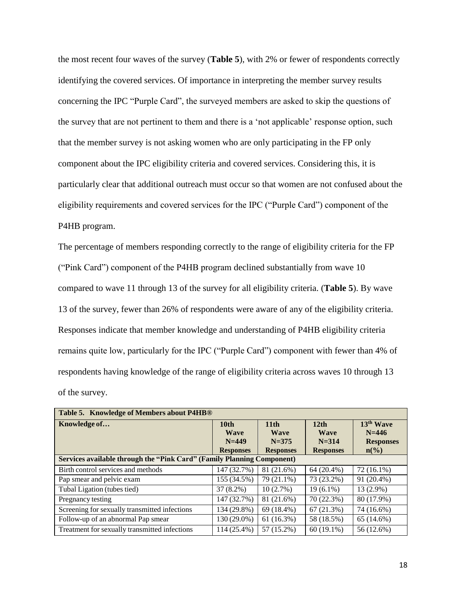the most recent four waves of the survey (**Table 5**), with 2% or fewer of respondents correctly identifying the covered services. Of importance in interpreting the member survey results concerning the IPC "Purple Card", the surveyed members are asked to skip the questions of the survey that are not pertinent to them and there is a 'not applicable' response option, such that the member survey is not asking women who are only participating in the FP only component about the IPC eligibility criteria and covered services. Considering this, it is particularly clear that additional outreach must occur so that women are not confused about the eligibility requirements and covered services for the IPC ("Purple Card") component of the P4HB program.

The percentage of members responding correctly to the range of eligibility criteria for the FP ("Pink Card") component of the P4HB program declined substantially from wave 10 compared to wave 11 through 13 of the survey for all eligibility criteria. (**Table 5**). By wave 13 of the survey, fewer than 26% of respondents were aware of any of the eligibility criteria. Responses indicate that member knowledge and understanding of P4HB eligibility criteria remains quite low, particularly for the IPC ("Purple Card") component with fewer than 4% of respondents having knowledge of the range of eligibility criteria across waves 10 through 13 of the survey.

| Table 5. Knowledge of Members about P4HB®                              |                  |                  |                  |                  |  |  |  |  |  |
|------------------------------------------------------------------------|------------------|------------------|------------------|------------------|--|--|--|--|--|
| Knowledge of                                                           | 10 <sub>th</sub> | 11 <sub>th</sub> | 12 <sub>th</sub> | $13th$ Wave      |  |  |  |  |  |
|                                                                        | <b>Wave</b>      | <b>Wave</b>      | <b>Wave</b>      | $N = 446$        |  |  |  |  |  |
|                                                                        | $N = 449$        | $N = 375$        | $N = 314$        | <b>Responses</b> |  |  |  |  |  |
|                                                                        | <b>Responses</b> | <b>Responses</b> | <b>Responses</b> | $n\binom{0}{0}$  |  |  |  |  |  |
| Services available through the "Pink Card" (Family Planning Component) |                  |                  |                  |                  |  |  |  |  |  |
| Birth control services and methods                                     | 147 (32.7%)      | 81 (21.6%)       | $64(20.4\%)$     | 72 (16.1%)       |  |  |  |  |  |
| Pap smear and pelvic exam                                              | 155 (34.5%)      | 79 (21.1%)       | 73 (23.2%)       | 91 (20.4%)       |  |  |  |  |  |
| Tubal Ligation (tubes tied)                                            | $37(8.2\%)$      | 10(2.7%)         | $19(6.1\%)$      | $13(2.9\%)$      |  |  |  |  |  |
| Pregnancy testing                                                      | 147 (32.7%)      | 81 (21.6%)       | 70 (22.3%)       | 80 (17.9%)       |  |  |  |  |  |
| Screening for sexually transmitted infections                          | 134 (29.8%)      | 69 (18.4%)       | 67(21.3%)        | 74 (16.6%)       |  |  |  |  |  |
| Follow-up of an abnormal Pap smear                                     | 130 (29.0%)      | 61(16.3%)        | 58 (18.5%)       | 65 (14.6%)       |  |  |  |  |  |
| Treatment for sexually transmitted infections                          | 114 (25.4%)      | 57 (15.2%)       | $60(19.1\%)$     | 56 (12.6%)       |  |  |  |  |  |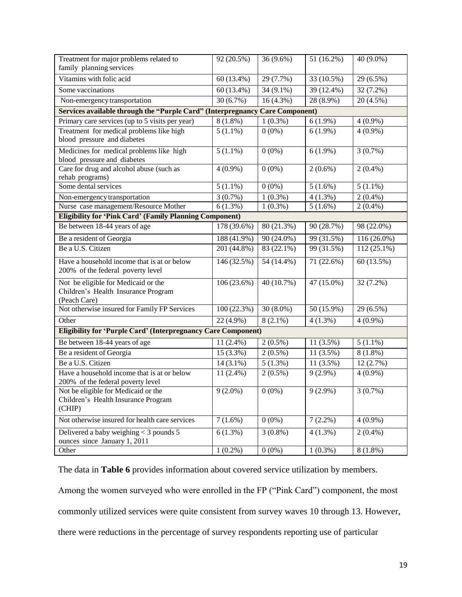| Treatment for major problems related to<br>family planning services                                     | 92 (20.5%)                                                                                              | $\overline{36(9.6\%)}$ | 51 (16.2%)  | 40 (9.0%)     |  |  |  |  |  |  |  |  |
|---------------------------------------------------------------------------------------------------------|---------------------------------------------------------------------------------------------------------|------------------------|-------------|---------------|--|--|--|--|--|--|--|--|
| Vitamins with folic acid                                                                                | 60 (13.4%)                                                                                              | 29 (7.7%)              | 33 (10.5%)  | 29 (6.5%)     |  |  |  |  |  |  |  |  |
| Some vaccinations                                                                                       | 60 (13.4%)                                                                                              | 34 (9.1%)              | 39 (12.4%)  | 32 (7.2%)     |  |  |  |  |  |  |  |  |
| Non-emergency transportation                                                                            | 30(6.7%)                                                                                                | $16(4.3\%)$            | 28 (8.9%)   | $20(4.5\%)$   |  |  |  |  |  |  |  |  |
| Services available through the "Purple Card" (Interpregnancy Care Component)                            |                                                                                                         |                        |             |               |  |  |  |  |  |  |  |  |
|                                                                                                         | Primary care services (up to 5 visits per year)<br>$8(1.8\%)$<br>$1(0.3\%)$<br>$6(1.9\%)$<br>$4(0.9\%)$ |                        |             |               |  |  |  |  |  |  |  |  |
| Treatment for medical problems like high                                                                | $5(1.1\%)$                                                                                              | $0(0\%)$               | $6(1.9\%)$  | $4(0.9\%)$    |  |  |  |  |  |  |  |  |
| blood pressure and diabetes                                                                             |                                                                                                         |                        |             |               |  |  |  |  |  |  |  |  |
| Medicines for medical problems like high                                                                | $5(1.1\%)$                                                                                              | $0(0\%)$               | $6(1.9\%)$  | $3(0.7\%)$    |  |  |  |  |  |  |  |  |
| blood pressure and diabetes                                                                             |                                                                                                         |                        |             |               |  |  |  |  |  |  |  |  |
| Care for drug and alcohol abuse (such as                                                                | $4(0.9\%)$                                                                                              | $0(0\%)$               | $2(0.6\%)$  | $2(0.4\%)$    |  |  |  |  |  |  |  |  |
| rehab programs)<br>Some dental services                                                                 |                                                                                                         |                        |             |               |  |  |  |  |  |  |  |  |
|                                                                                                         | $5(1.1\%)$                                                                                              | $0(0\%)$               | $5(1.6\%)$  | $5(1.1\%)$    |  |  |  |  |  |  |  |  |
| Non-emergency transportation                                                                            | 3(0.7%)                                                                                                 | $1(0.3\%)$             | $4(1.3\%)$  | $2(0.4\%)$    |  |  |  |  |  |  |  |  |
| Nurse case management/Resource Mother<br><b>Eligibility for 'Pink Card' (Family Planning Component)</b> | $6(1.3\%)$                                                                                              | $1(0.3\%)$             | $5(1.6\%)$  | $2(0.4\%)$    |  |  |  |  |  |  |  |  |
| Be between 18-44 years of age                                                                           | 178 (39.6%)                                                                                             | 80 (21.3%)             | 90 (28.7%)  | 98 (22.0%)    |  |  |  |  |  |  |  |  |
|                                                                                                         |                                                                                                         |                        |             |               |  |  |  |  |  |  |  |  |
| Be a resident of Georgia                                                                                | 188 (41.9%)                                                                                             | 90 (24.0%)             | 99 (31.5%)  | $116(26.0\%)$ |  |  |  |  |  |  |  |  |
| Be a U.S. Citizen                                                                                       | 201 (44.8%)                                                                                             | 83 (22.1%)             | 99 (31.5%)  | $112(25.1\%)$ |  |  |  |  |  |  |  |  |
| Have a household income that is at or below<br>200% of the federal poverty level                        | 146 (32.5%)                                                                                             | 54 (14.4%)             | 71 (22.6%)  | 60 (13.5%)    |  |  |  |  |  |  |  |  |
| Not be eligible for Medicaid or the<br>Children's Health Insurance Program<br>(Peach Care)              | 106(23.6%)                                                                                              | 40 (10.7%)             | 47 (15.0%)  | 32 (7.2%)     |  |  |  |  |  |  |  |  |
| Not otherwise insured for Family FP Services                                                            | 100(22.3%)                                                                                              | $30(8.0\%)$            | 50 (15.9%)  | 29 (6.5%)     |  |  |  |  |  |  |  |  |
| Other                                                                                                   | 22 (4.9%)                                                                                               | $8(2.1\%)$             | $4(1.3\%)$  | $4(0.9\%)$    |  |  |  |  |  |  |  |  |
| <b>Eligibility for 'Purple Card' (Interpregnancy Care Component)</b>                                    |                                                                                                         |                        |             |               |  |  |  |  |  |  |  |  |
| Be between 18-44 years of age                                                                           | $11(2.4\%)$                                                                                             | $2(0.5\%)$             | $11(3.5\%)$ | $5(1.1\%)$    |  |  |  |  |  |  |  |  |
| Be a resident of Georgia                                                                                | 15 (3.3%)                                                                                               | $2(0.5\%)$             | 11(3.5%)    | $8(1.8\%)$    |  |  |  |  |  |  |  |  |
| Be a U.S. Citizen                                                                                       | $14(3.1\%)$                                                                                             | $5(1.3\%)$             | $11(3.5\%)$ | 12(2.7%)      |  |  |  |  |  |  |  |  |
| Have a household income that is at or below<br>200% of the federal poverty level                        | $11(2.4\%)$                                                                                             | $2(0.5\%)$             | $9(2.9\%)$  | $4(0.9\%)$    |  |  |  |  |  |  |  |  |
| Not be eligible for Medicaid or the<br>Children's Health Insurance Program<br>(CHIP)                    | $9(2.0\%)$                                                                                              | $0(0\%)$               | $9(2.9\%)$  | 3(0.7%)       |  |  |  |  |  |  |  |  |
| Not otherwise insured for health care services                                                          | $7(1.6\%)$                                                                                              | $0(0\%)$               | $7(2.2\%)$  | $4(0.9\%)$    |  |  |  |  |  |  |  |  |
| Delivered a baby weighing < 3 pounds 5<br>ounces since January 1, 2011                                  | $6(1.3\%)$                                                                                              | $3(0.8\%)$             | $4(1.3\%)$  | $2(0.4\%)$    |  |  |  |  |  |  |  |  |
| Other                                                                                                   | $1(0.2\%)$                                                                                              | $0(0\%)$               | $1(0.3\%)$  | $8(1.8\%)$    |  |  |  |  |  |  |  |  |

The data in **Table 6** provides information about covered service utilization by members.

Among the women surveyed who were enrolled in the FP ("Pink Card") component, the most commonly utilized services were quite consistent from survey waves 10 through 13. However, there were reductions in the percentage of survey respondents reporting use of particular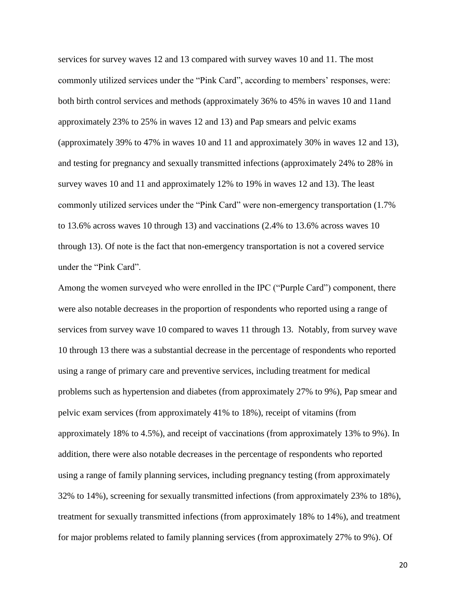services for survey waves 12 and 13 compared with survey waves 10 and 11. The most commonly utilized services under the "Pink Card", according to members' responses, were: both birth control services and methods (approximately 36% to 45% in waves 10 and 11and approximately 23% to 25% in waves 12 and 13) and Pap smears and pelvic exams (approximately 39% to 47% in waves 10 and 11 and approximately 30% in waves 12 and 13), and testing for pregnancy and sexually transmitted infections (approximately 24% to 28% in survey waves 10 and 11 and approximately 12% to 19% in waves 12 and 13). The least commonly utilized services under the "Pink Card" were non-emergency transportation (1.7% to 13.6% across waves 10 through 13) and vaccinations (2.4% to 13.6% across waves 10 through 13). Of note is the fact that non-emergency transportation is not a covered service under the "Pink Card".

Among the women surveyed who were enrolled in the IPC ("Purple Card") component, there were also notable decreases in the proportion of respondents who reported using a range of services from survey wave 10 compared to waves 11 through 13. Notably, from survey wave 10 through 13 there was a substantial decrease in the percentage of respondents who reported using a range of primary care and preventive services, including treatment for medical problems such as hypertension and diabetes (from approximately 27% to 9%), Pap smear and pelvic exam services (from approximately 41% to 18%), receipt of vitamins (from approximately 18% to 4.5%), and receipt of vaccinations (from approximately 13% to 9%). In addition, there were also notable decreases in the percentage of respondents who reported using a range of family planning services, including pregnancy testing (from approximately 32% to 14%), screening for sexually transmitted infections (from approximately 23% to 18%), treatment for sexually transmitted infections (from approximately 18% to 14%), and treatment for major problems related to family planning services (from approximately 27% to 9%). Of

20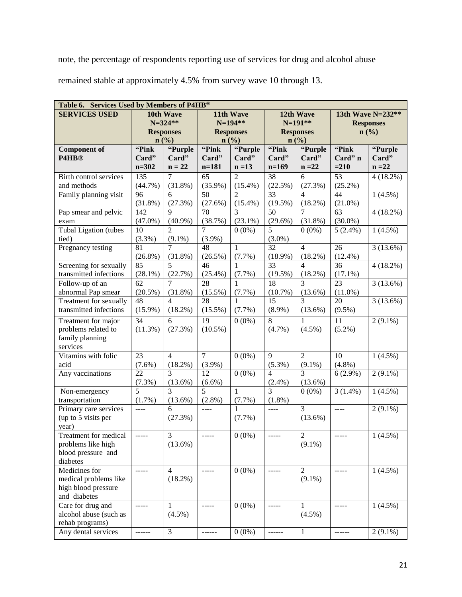note, the percentage of respondents reporting use of services for drug and alcohol abuse remained stable at approximately 4.5% from survey wave 10 through 13.

| Table 6. Services Used by Members of P4HB®       |                  |                              |                  |                        |                             |                 |                                                                                                                                                                                                                                                                                                                                                                                              |             |  |  |
|--------------------------------------------------|------------------|------------------------------|------------------|------------------------|-----------------------------|-----------------|----------------------------------------------------------------------------------------------------------------------------------------------------------------------------------------------------------------------------------------------------------------------------------------------------------------------------------------------------------------------------------------------|-------------|--|--|
| <b>SERVICES USED</b>                             |                  | 10th Wave                    |                  | 11th Wave<br>12th Wave |                             |                 | 13th Wave N=232**                                                                                                                                                                                                                                                                                                                                                                            |             |  |  |
|                                                  |                  | $N = 324**$                  | N=194**          |                        |                             | $N=191**$       | <b>Responses</b>                                                                                                                                                                                                                                                                                                                                                                             |             |  |  |
|                                                  |                  | <b>Responses</b>             | <b>Responses</b> |                        | <b>Responses</b>            |                 | n(%)                                                                                                                                                                                                                                                                                                                                                                                         |             |  |  |
|                                                  |                  | n(%)                         | n(%)             |                        |                             | n(%)            |                                                                                                                                                                                                                                                                                                                                                                                              |             |  |  |
| <b>Component of</b>                              | "Pink            | "Purple                      | "Pink            | "Purple                | "Pink                       | "Purple         | "Pink                                                                                                                                                                                                                                                                                                                                                                                        | "Purple     |  |  |
| P4HB <sup>®</sup>                                | Card"            | Card"                        | Card"            | Card"                  | Card"                       | Card"           | Card" n                                                                                                                                                                                                                                                                                                                                                                                      | Card"       |  |  |
|                                                  | $n = 302$        | $n = 22$                     | $n = 181$        | $n = 13$               | $n=169$                     | $n = 22$        | $= 210$                                                                                                                                                                                                                                                                                                                                                                                      | $n = 22$    |  |  |
| Birth control services                           | $\overline{135}$ | $\overline{7}$               | $\overline{65}$  | $\overline{2}$         | $\overline{38}$             | 6               | $\overline{53}$                                                                                                                                                                                                                                                                                                                                                                              | $4(18.2\%)$ |  |  |
| and methods                                      | (44.7%)          | $(31.8\%)$                   | $(35.9\%)$       | $(15.4\%)$             | (22.5%)                     | (27.3%)         | $(25.2\%)$                                                                                                                                                                                                                                                                                                                                                                                   |             |  |  |
| Family planning visit                            | 96               | 6                            | 50               | $\mathcal{D}_{\alpha}$ | 33                          | $\overline{4}$  | 44                                                                                                                                                                                                                                                                                                                                                                                           | $1(4.5\%)$  |  |  |
|                                                  | (31.8%)          | (27.3%)                      | (27.6%)          | $(15.4\%)$             | (19.5%)                     | (18.2%)         | $(21.0\%)$                                                                                                                                                                                                                                                                                                                                                                                   |             |  |  |
| Pap smear and pelvic                             | 142              | 9                            | 70               | $\overline{3}$         | 50                          | $\overline{7}$  | 63                                                                                                                                                                                                                                                                                                                                                                                           | 4(18.2%)    |  |  |
| exam                                             | $(47.0\%)$       | $(40.9\%)$                   | (38.7%)          | $(23.1\%)$             | $(29.6\%)$                  | $(31.8\%)$      | $(30.0\%)$                                                                                                                                                                                                                                                                                                                                                                                   |             |  |  |
| Tubal Ligation (tubes                            | 10               | $\overline{2}$               | $\overline{7}$   | $0(0\%)$               | 5                           | $0(0\%)$        | $5(2.4\%)$                                                                                                                                                                                                                                                                                                                                                                                   | $1(4.5\%)$  |  |  |
| tied)                                            | (3.3%)           | $(9.1\%)$                    | $(3.9\%)$        |                        | $(3.0\%)$                   |                 |                                                                                                                                                                                                                                                                                                                                                                                              |             |  |  |
| Pregnancy testing                                | 81               | 7                            | 48               | $\mathbf{1}$           | 32                          | $\overline{4}$  | 26                                                                                                                                                                                                                                                                                                                                                                                           | 3(13.6%)    |  |  |
|                                                  | $(26.8\%)$       | $(31.8\%)$                   | $(26.5\%)$       | $(7.7\%)$              | $(18.9\%)$                  | $(18.2\%)$      | $(12.4\%)$                                                                                                                                                                                                                                                                                                                                                                                   |             |  |  |
| Screening for sexually                           | 85               | 5                            | 46               | 1                      | 33                          | $\overline{4}$  | 36                                                                                                                                                                                                                                                                                                                                                                                           | 4(18.2%)    |  |  |
| transmitted infections                           | $(28.1\%)$       | (22.7%)                      | $(25.4\%)$       | (7.7%)                 | (19.5%)                     | $(18.2\%)$      | $(17.1\%)$                                                                                                                                                                                                                                                                                                                                                                                   |             |  |  |
| Follow-up of an                                  | 62               | $\tau$                       | 28               | 1                      | 18                          | 3               | 23                                                                                                                                                                                                                                                                                                                                                                                           | 3(13.6%)    |  |  |
| abnormal Pap smear                               | $(20.5\%)$<br>48 | $(31.8\%)$<br>$\overline{4}$ | $(15.5\%)$       | (7.7%)                 | (10.7%)                     | $(13.6\%)$<br>3 | $(11.0\%)$                                                                                                                                                                                                                                                                                                                                                                                   |             |  |  |
| Treatment for sexually<br>transmitted infections |                  |                              | 28               | 1<br>$(7.7\%)$         | 15                          |                 | 20                                                                                                                                                                                                                                                                                                                                                                                           | 3(13.6%)    |  |  |
|                                                  | $(15.9\%)$       | $(18.2\%)$                   | $(15.5\%)$       |                        | $(8.9\%)$                   | $(13.6\%)$      | $(9.5\%)$                                                                                                                                                                                                                                                                                                                                                                                    |             |  |  |
| Treatment for major                              | 34               | 6                            | 19               | $0(0\%)$               | 8                           | $\mathbf{1}$    | 11                                                                                                                                                                                                                                                                                                                                                                                           | $2(9.1\%)$  |  |  |
| problems related to                              | $(11.3\%)$       | (27.3%)                      | $(10.5\%)$       |                        | $(4.7\%)$                   | $(4.5\%)$       | $(5.2\%)$                                                                                                                                                                                                                                                                                                                                                                                    |             |  |  |
| family planning                                  |                  |                              |                  |                        |                             |                 |                                                                                                                                                                                                                                                                                                                                                                                              |             |  |  |
| services                                         |                  |                              |                  |                        |                             |                 |                                                                                                                                                                                                                                                                                                                                                                                              |             |  |  |
| Vitamins with folic<br>acid                      | 23               | $\overline{4}$               | $\tau$           | $0(0\%)$               | 9                           | $\overline{2}$  | 10<br>$(4.8\%)$                                                                                                                                                                                                                                                                                                                                                                              | $1(4.5\%)$  |  |  |
| Any vaccinations                                 | $(7.6\%)$<br>22  | $(18.2\%)$<br>$\overline{3}$ | $(3.9\%)$<br>12  | $0(0\%)$               | $(5.3\%)$<br>$\overline{4}$ | $(9.1\%)$<br>3  | $6(2.9\%)$                                                                                                                                                                                                                                                                                                                                                                                   | $2(9.1\%)$  |  |  |
|                                                  | $(7.3\%)$        | $(13.6\%)$                   | $(6.6\%)$        |                        | $(2.4\%)$                   | $(13.6\%)$      |                                                                                                                                                                                                                                                                                                                                                                                              |             |  |  |
| Non-emergency                                    | $\overline{5}$   | $\overline{3}$               | $\overline{5}$   | $\mathbf{1}$           | $\overline{3}$              | $0(0\%)$        | $\overline{3}(1.4\%)$                                                                                                                                                                                                                                                                                                                                                                        | $1(4.5\%)$  |  |  |
| transportation                                   | $(1.7\%)$        | $(13.6\%)$                   | $(2.8\%)$        | (7.7%)                 | $(1.8\%)$                   |                 |                                                                                                                                                                                                                                                                                                                                                                                              |             |  |  |
| Primary care services                            | $---$            | 6                            | $\cdots$         | 1                      | $\cdots$                    | $\overline{3}$  | $\frac{1}{2} \frac{1}{2} \frac{1}{2} \frac{1}{2} \frac{1}{2} \frac{1}{2} \frac{1}{2} \frac{1}{2} \frac{1}{2} \frac{1}{2} \frac{1}{2} \frac{1}{2} \frac{1}{2} \frac{1}{2} \frac{1}{2} \frac{1}{2} \frac{1}{2} \frac{1}{2} \frac{1}{2} \frac{1}{2} \frac{1}{2} \frac{1}{2} \frac{1}{2} \frac{1}{2} \frac{1}{2} \frac{1}{2} \frac{1}{2} \frac{1}{2} \frac{1}{2} \frac{1}{2} \frac{1}{2} \frac{$ | $2(9.1\%)$  |  |  |
| (up to 5 visits per                              |                  | (27.3%)                      |                  | $(7.7\%)$              |                             | $(13.6\%)$      |                                                                                                                                                                                                                                                                                                                                                                                              |             |  |  |
| year)                                            |                  |                              |                  |                        |                             |                 |                                                                                                                                                                                                                                                                                                                                                                                              |             |  |  |
| Treatment for medical                            | $\frac{1}{2}$    | $\overline{3}$               | -----            | $0(0\%)$               | $- - - - -$                 | $\overline{2}$  | -----                                                                                                                                                                                                                                                                                                                                                                                        | $1(4.5\%)$  |  |  |
| problems like high                               |                  | $(13.6\%)$                   |                  |                        |                             | $(9.1\%)$       |                                                                                                                                                                                                                                                                                                                                                                                              |             |  |  |
| blood pressure and                               |                  |                              |                  |                        |                             |                 |                                                                                                                                                                                                                                                                                                                                                                                              |             |  |  |
| diabetes                                         |                  |                              |                  |                        |                             |                 |                                                                                                                                                                                                                                                                                                                                                                                              |             |  |  |
| Medicines for                                    | $- - - - -$      | $\overline{4}$               | $- - - - -$      | $0(0\%)$               |                             | $\overline{2}$  | -----                                                                                                                                                                                                                                                                                                                                                                                        | $1(4.5\%)$  |  |  |
| medical problems like                            |                  | $(18.2\%)$                   |                  |                        |                             | $(9.1\%)$       |                                                                                                                                                                                                                                                                                                                                                                                              |             |  |  |
| high blood pressure                              |                  |                              |                  |                        |                             |                 |                                                                                                                                                                                                                                                                                                                                                                                              |             |  |  |
| and diabetes                                     |                  |                              |                  |                        |                             |                 |                                                                                                                                                                                                                                                                                                                                                                                              |             |  |  |
| Care for drug and                                | $- - - - -$      | 1                            | $- - - - -$      | $0(0\%)$               | -----                       | 1               | -----                                                                                                                                                                                                                                                                                                                                                                                        | $1(4.5\%)$  |  |  |
| alcohol abuse (such as                           |                  | $(4.5\%)$                    |                  |                        |                             | $(4.5\%)$       |                                                                                                                                                                                                                                                                                                                                                                                              |             |  |  |
| rehab programs)                                  |                  |                              |                  |                        |                             |                 |                                                                                                                                                                                                                                                                                                                                                                                              |             |  |  |
| Any dental services                              |                  | 3                            | ------           | $0(0\%)$               | -------                     | $\mathbf{1}$    | ------                                                                                                                                                                                                                                                                                                                                                                                       | $2(9.1\%)$  |  |  |
|                                                  |                  |                              |                  |                        |                             |                 |                                                                                                                                                                                                                                                                                                                                                                                              |             |  |  |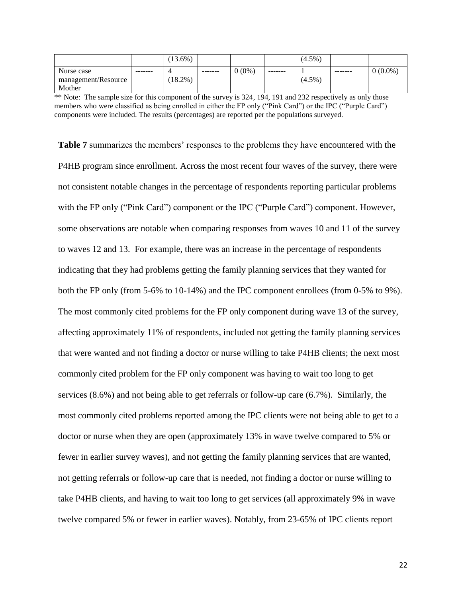|                     |         | $(13.6\%)$ |          |          |         | $(4.5\%)$ |          |            |
|---------------------|---------|------------|----------|----------|---------|-----------|----------|------------|
| Nurse case          | ------- | ,          | -------- | $0(0\%)$ | ------- |           | -------- | $0(0.0\%)$ |
| management/Resource |         | $18.2\%$ ) |          |          |         | $(4.5\%)$ |          |            |
| Mother              |         |            |          |          |         |           |          |            |

\*\* Note: The sample size for this component of the survey is 324, 194, 191 and 232 respectively as only those members who were classified as being enrolled in either the FP only ("Pink Card") or the IPC ("Purple Card") components were included. The results (percentages) are reported per the populations surveyed.

**Table 7** summarizes the members' responses to the problems they have encountered with the P4HB program since enrollment. Across the most recent four waves of the survey, there were not consistent notable changes in the percentage of respondents reporting particular problems with the FP only ("Pink Card") component or the IPC ("Purple Card") component. However, some observations are notable when comparing responses from waves 10 and 11 of the survey to waves 12 and 13. For example, there was an increase in the percentage of respondents indicating that they had problems getting the family planning services that they wanted for both the FP only (from 5-6% to 10-14%) and the IPC component enrollees (from 0-5% to 9%). The most commonly cited problems for the FP only component during wave 13 of the survey, affecting approximately 11% of respondents, included not getting the family planning services that were wanted and not finding a doctor or nurse willing to take P4HB clients; the next most commonly cited problem for the FP only component was having to wait too long to get services (8.6%) and not being able to get referrals or follow-up care (6.7%). Similarly, the most commonly cited problems reported among the IPC clients were not being able to get to a doctor or nurse when they are open (approximately 13% in wave twelve compared to 5% or fewer in earlier survey waves), and not getting the family planning services that are wanted, not getting referrals or follow-up care that is needed, not finding a doctor or nurse willing to take P4HB clients, and having to wait too long to get services (all approximately 9% in wave twelve compared 5% or fewer in earlier waves). Notably, from 23-65% of IPC clients report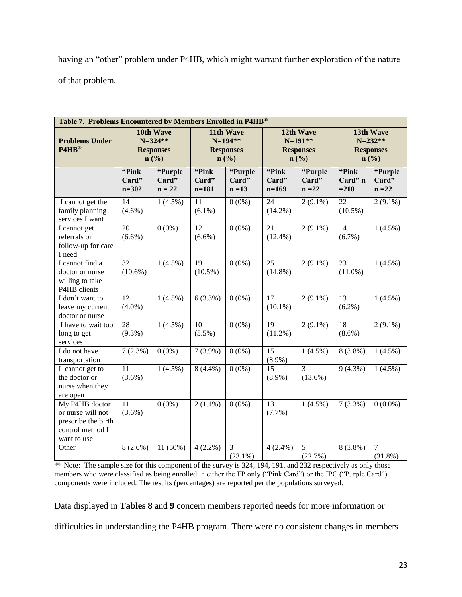having an "other" problem under P4HB, which might warrant further exploration of the nature of that problem.

| Table 7. Problems Encountered by Members Enrolled in P4HB®                                    |                             |                                                      |                               |                                                                           |                                                       |                              |                                                      |                              |  |
|-----------------------------------------------------------------------------------------------|-----------------------------|------------------------------------------------------|-------------------------------|---------------------------------------------------------------------------|-------------------------------------------------------|------------------------------|------------------------------------------------------|------------------------------|--|
| <b>Problems Under</b><br>P4HB®                                                                |                             | 10th Wave<br>$N = 324**$<br><b>Responses</b><br>n(%) |                               | 11th Wave<br>$N=194**$<br><b>Responses</b><br>$n\left(\frac{9}{6}\right)$ | 12th Wave<br>$N=191**$<br><b>Responses</b><br>$n$ (%) |                              | 13th Wave<br>$N = 232**$<br><b>Responses</b><br>n(%) |                              |  |
|                                                                                               | "Pink<br>Card"<br>$n = 302$ | "Purple<br>Card"<br>$n = 22$                         | "Pink<br>Card"<br>$n = 181$   | "Purple<br>Card"<br>$n = 13$                                              | "Pink<br>Card"<br>$n=169$                             | "Purple<br>Card"<br>$n = 22$ | "Pink<br>Card" n<br>$= 210$                          | "Purple<br>Card"<br>$n = 22$ |  |
| I cannot get the<br>family planning<br>services I want                                        | 14<br>$(4.6\%)$             | $1(4.5\%)$                                           | 11<br>$(6.1\%)$               | $0(0\%)$                                                                  | 24<br>$(14.2\%)$                                      | $2(9.1\%)$                   | 22<br>$(10.5\%)$                                     | $2(9.1\%)$                   |  |
| I cannot get<br>referrals or<br>follow-up for care<br>I need                                  | 20<br>$(6.6\%)$             | $0(0\%)$                                             | 12<br>$(6.6\%)$               | $0(0\%)$                                                                  | 21<br>$(12.4\%)$                                      | $2(9.1\%)$                   | 14<br>$(6.7\%)$                                      | $1(4.5\%)$                   |  |
| I cannot find a<br>doctor or nurse<br>willing to take<br>P4HB clients                         | 32<br>$(10.6\%)$            | $1(4.5\%)$                                           | $\overline{19}$<br>$(10.5\%)$ | $0(0\%)$                                                                  | $\overline{25}$<br>$(14.8\%)$                         | $2(9.1\%)$                   | 23<br>$(11.0\%)$                                     | $1(4.5\%)$                   |  |
| I don't want to<br>leave my current<br>doctor or nurse                                        | 12<br>$(4.0\%)$             | $1(4.5\%)$                                           | $6(3.3\%)$                    | $0(0\%)$                                                                  | $\overline{17}$<br>$(10.1\%)$                         | $2(9.1\%)$                   | $\overline{13}$<br>$(6.2\%)$                         | $1(4.5\%)$                   |  |
| I have to wait too<br>long to get<br>services                                                 | 28<br>$(9.3\%)$             | $1(4.5\%)$                                           | 10<br>$(5.5\%)$               | $0(0\%)$                                                                  | 19<br>$(11.2\%)$                                      | $2(9.1\%)$                   | 18<br>$(8.6\%)$                                      | $2(9.1\%)$                   |  |
| I do not have<br>transportation                                                               | $7(2.3\%)$                  | $0(0\%)$                                             | $7(3.9\%)$                    | $0(0\%)$                                                                  | 15<br>$(8.9\%)$                                       | $1(4.5\%)$                   | $8(3.8\%)$                                           | $1(4.5\%)$                   |  |
| I cannot get to<br>the doctor or<br>nurse when they<br>are open                               | 11<br>$(3.6\%)$             | $1(4.5\%)$                                           | $8(4.4\%)$                    | $0(0\%)$                                                                  | 15<br>$(8.9\%)$                                       | $\overline{3}$<br>$(13.6\%)$ | $9(4.3\%)$                                           | $1(4.5\%)$                   |  |
| My P4HB doctor<br>or nurse will not<br>prescribe the birth<br>control method I<br>want to use | 11<br>$(3.6\%)$             | $0(0\%)$                                             | $2(1.1\%)$                    | $0(0\%)$                                                                  | 13<br>(7.7%)                                          | $1(4.5\%)$                   | $7(3.3\%)$                                           | $0(0.0\%)$                   |  |
| Other                                                                                         | $8(2.6\%)$                  | 11 (50%)                                             | $4(2.2\%)$                    | $\overline{3}$<br>$(23.1\%)$                                              | $4(2.4\%)$                                            | $\overline{5}$<br>(22.7%)    | 8 (3.8%)                                             | $\overline{7}$<br>$(31.8\%)$ |  |

\*\* Note: The sample size for this component of the survey is 324, 194, 191, and 232 respectively as only those members who were classified as being enrolled in either the FP only ("Pink Card") or the IPC ("Purple Card") components were included. The results (percentages) are reported per the populations surveyed.

Data displayed in **Tables 8** and **9** concern members reported needs for more information or difficulties in understanding the P4HB program. There were no consistent changes in members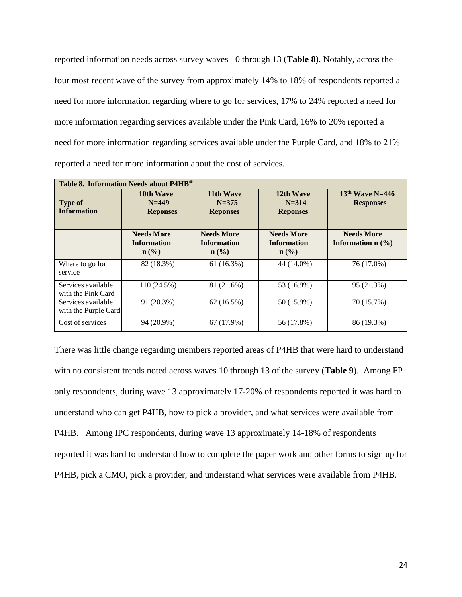reported information needs across survey waves 10 through 13 (**Table 8**). Notably, across the four most recent wave of the survey from approximately 14% to 18% of respondents reported a need for more information regarding where to go for services, 17% to 24% reported a need for more information regarding services available under the Pink Card, 16% to 20% reported a need for more information regarding services available under the Purple Card, and 18% to 21% reported a need for more information about the cost of services.

|                                            | Table 8. Information Needs about P4HB®                                                 |                                                             |                                                             |                                          |  |  |  |  |  |  |  |
|--------------------------------------------|----------------------------------------------------------------------------------------|-------------------------------------------------------------|-------------------------------------------------------------|------------------------------------------|--|--|--|--|--|--|--|
| <b>Type of</b><br><b>Information</b>       | 11th Wave<br>10th Wave<br>$N = 449$<br>$N = 375$<br><b>Reponses</b><br><b>Reponses</b> |                                                             | 12th Wave<br>$N = 314$<br><b>Reponses</b>                   | $13th$ Wave N=446<br><b>Responses</b>    |  |  |  |  |  |  |  |
|                                            | <b>Needs More</b><br><b>Information</b><br>$n\left(\frac{0}{0}\right)$                 | <b>Needs More</b><br><b>Information</b><br>$\mathbf{n}(\%)$ | <b>Needs More</b><br><b>Information</b><br>$\mathbf{n}(\%)$ | <b>Needs More</b><br>Information $n$ (%) |  |  |  |  |  |  |  |
| Where to go for<br>service                 | 82 (18.3%)                                                                             | 61(16.3%)                                                   | 44 (14.0%)                                                  | 76 (17.0%)                               |  |  |  |  |  |  |  |
| Services available<br>with the Pink Card   | $110(24.5\%)$                                                                          | 81 (21.6%)                                                  | 53 (16.9%)                                                  | 95 (21.3%)                               |  |  |  |  |  |  |  |
| Services available<br>with the Purple Card | 91 (20.3%)                                                                             | 62(16.5%)                                                   | 50 (15.9%)                                                  | 70 (15.7%)                               |  |  |  |  |  |  |  |
| Cost of services                           | 94 (20.9%)                                                                             | 67 (17.9%)                                                  | 56 (17.8%)                                                  | 86 (19.3%)                               |  |  |  |  |  |  |  |

There was little change regarding members reported areas of P4HB that were hard to understand with no consistent trends noted across waves 10 through 13 of the survey (**Table 9**). Among FP only respondents, during wave 13 approximately 17-20% of respondents reported it was hard to understand who can get P4HB, how to pick a provider, and what services were available from P4HB. Among IPC respondents, during wave 13 approximately 14-18% of respondents reported it was hard to understand how to complete the paper work and other forms to sign up for P4HB, pick a CMO, pick a provider, and understand what services were available from P4HB.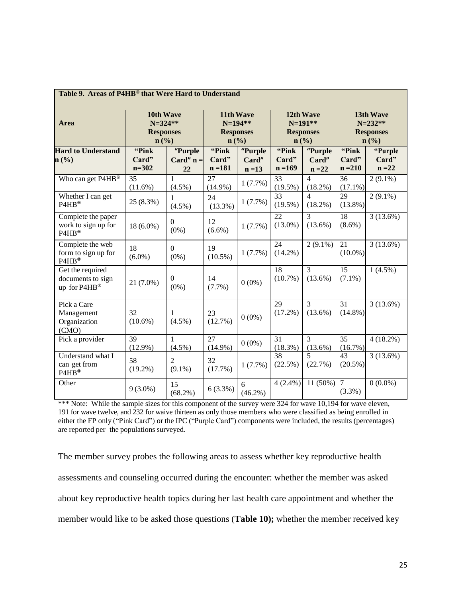| Table 9. Areas of P4HB® that Were Hard to Understand  |                                                      |                              |                                                                           |                              |                               |                                            |                                                      |                              |  |  |
|-------------------------------------------------------|------------------------------------------------------|------------------------------|---------------------------------------------------------------------------|------------------------------|-------------------------------|--------------------------------------------|------------------------------------------------------|------------------------------|--|--|
| Area                                                  | 10th Wave<br>$N = 324**$<br><b>Responses</b><br>n(%) |                              | 11th Wave<br>$N=194**$<br><b>Responses</b><br>$n\left(\frac{0}{0}\right)$ |                              | $n\left(\frac{0}{0}\right)$   | 12th Wave<br>$N=191**$<br><b>Responses</b> | 13th Wave<br>$N = 232**$<br><b>Responses</b><br>n(%) |                              |  |  |
| <b>Hard to Understand</b><br>n(%)                     | "Pink"<br>Card"<br>$n = 302$                         | "Purple<br>Card" $n =$<br>22 | "Pink"<br>Card"<br>$n = 181$                                              | "Purple<br>Card"<br>$n = 13$ | "Pink"<br>Card"<br>$n = 169$  | "Purple<br>Card"<br>$n = 22$               | "Pink"<br>Card"<br>$n = 210$                         | "Purple<br>Card"<br>$n = 22$ |  |  |
| Who can get P4HB®                                     | 35<br>$(11.6\%)$                                     | 1<br>$(4.5\%)$               | 27<br>$(14.9\%)$                                                          | 1(7.7%)                      | 33<br>$(19.5\%)$              | $\overline{4}$<br>(18.2%)                  | 36<br>$(17.1\%)$                                     | $2(9.1\%)$                   |  |  |
| Whether I can get<br>P4HB®                            | 25 (8.3%)                                            | $\mathbf{1}$<br>$(4.5\%)$    | 24<br>$(13.3\%)$                                                          | 1(7.7%)                      | 33<br>$(19.5\%)$              | $\overline{4}$<br>$(18.2\%)$               | 29<br>$(13.8\%)$                                     | $2(9.1\%)$                   |  |  |
| Complete the paper<br>work to sign up for<br>P4HB®    | $18(6.0\%)$                                          | $\overline{0}$<br>$(0\%)$    | 12<br>$(6.6\%)$                                                           | 1(7.7%)                      | $\overline{22}$<br>$(13.0\%)$ | $\overline{3}$<br>$(13.6\%)$               | $\overline{18}$<br>$(8.6\%)$                         | 3(13.6%)                     |  |  |
| Complete the web<br>form to sign up for<br>P4HB®      | 18<br>$(6.0\%)$                                      | $\Omega$<br>$(0\%)$          | 19<br>$(10.5\%)$                                                          | $1(7.7\%)$                   | 24<br>$(14.2\%)$              | $2(9.1\%)$                                 | $\overline{21}$<br>$(10.0\%)$                        | $3(13.6\%)$                  |  |  |
| Get the required<br>documents to sign<br>up for P4HB® | 21 (7.0%)                                            | $\overline{0}$<br>$(0\%)$    | 14<br>$(7.7\%)$                                                           | $0(0\%)$                     | 18<br>$(10.7\%)$              | $\overline{3}$<br>$(13.6\%)$               | $\overline{15}$<br>$(7.1\%)$                         | $1(4.5\%)$                   |  |  |
| Pick a Care<br>Management<br>Organization<br>(CMO)    | 32<br>$(10.6\%)$                                     | 1<br>$(4.5\%)$               | 23<br>(12.7%)                                                             | $0(0\%)$                     | 29<br>$(17.2\%)$              | $\overline{3}$<br>$(13.6\%)$               | 31<br>$(14.8\%)$                                     | $3(13.6\%)$                  |  |  |
| Pick a provider                                       | 39<br>$(12.9\%)$                                     | $\mathbf{1}$<br>$(4.5\%)$    | 27<br>$(14.9\%)$                                                          | $0(0\%)$                     | 31<br>$(18.3\%)$              | 3<br>$(13.6\%)$                            | 35<br>$(16.7\%)$                                     | $4(18.2\%)$                  |  |  |
| Understand what I<br>can get from<br>P4HB®            | 58<br>$(19.2\%)$                                     | $\overline{c}$<br>$(9.1\%)$  | 32<br>(17.7%)                                                             | 1(7.7%)                      | $\overline{38}$<br>(22.5%)    | $\overline{5}$<br>(22.7%)                  | 43<br>$(20.5\%)$                                     | 3(13.6%)                     |  |  |
| Other                                                 | $9(3.0\%)$                                           | 15<br>$(68.2\%)$             | $6(3.3\%)$                                                                | 6<br>$(46.2\%)$              | $4(2.4\%)$                    | $11(50\%)$                                 | $\overline{7}$<br>(3.3%)                             | $0(0.0\%)$                   |  |  |

\*\*\* Note: While the sample sizes for this component of the survey were 324 for wave 10,194 for wave eleven, 191 for wave twelve, and 232 for waive thirteen as only those members who were classified as being enrolled in either the FP only ("Pink Card") or the IPC ("Purple Card") components were included, the results (percentages) are reported per the populations surveyed.

The member survey probes the following areas to assess whether key reproductive health assessments and counseling occurred during the encounter: whether the member was asked about key reproductive health topics during her last health care appointment and whether the member would like to be asked those questions (**Table 10);** whether the member received key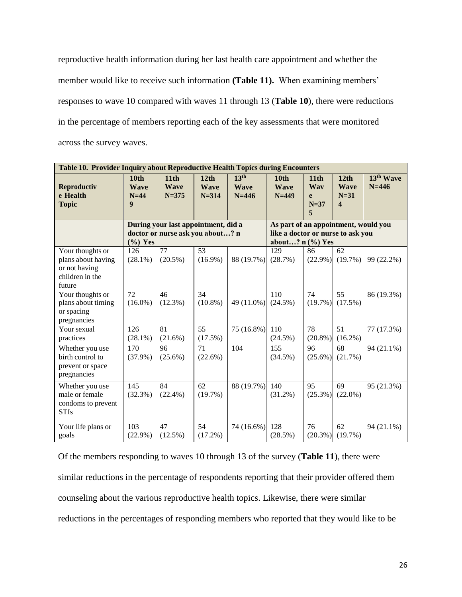reproductive health information during her last health care appointment and whether the member would like to receive such information **(Table 11).** When examining members' responses to wave 10 compared with waves 11 through 13 (**Table 10**), there were reductions in the percentage of members reporting each of the key assessments that were monitored across the survey waves.

| Table 10. Provider Inquiry about Reproductive Health Topics during Encounters        |                                                               |                                                                         |                                  |                                              |                                                                                                    |                                             |                                                   |                                    |  |
|--------------------------------------------------------------------------------------|---------------------------------------------------------------|-------------------------------------------------------------------------|----------------------------------|----------------------------------------------|----------------------------------------------------------------------------------------------------|---------------------------------------------|---------------------------------------------------|------------------------------------|--|
| <b>Reproductiv</b><br>e Health<br><b>Topic</b>                                       | 10 <sub>th</sub><br><b>Wave</b><br>$N=44$<br>$\boldsymbol{9}$ | 11 <sub>th</sub><br><b>Wave</b><br>$N = 375$                            | 12th<br><b>Wave</b><br>$N = 314$ | 13 <sup>th</sup><br><b>Wave</b><br>$N = 446$ | 10 <sub>th</sub><br><b>Wave</b><br>$N=449$                                                         | 11 <sub>th</sub><br>Wav<br>e<br>$N=37$<br>5 | 12th<br><b>Wave</b><br>$N=31$<br>$\boldsymbol{4}$ | 13 <sup>th</sup> Wave<br>$N = 446$ |  |
|                                                                                      | $(\%)$ Yes                                                    | During your last appointment, did a<br>doctor or nurse ask you about? n |                                  |                                              | As part of an appointment, would you<br>like a doctor or nurse to ask you<br>about? $n$ $(\%)$ Yes |                                             |                                                   |                                    |  |
| Your thoughts or<br>plans about having<br>or not having<br>children in the<br>future | 126<br>$(28.1\%)$                                             | 77<br>$(20.5\%)$                                                        | $\overline{53}$<br>$(16.9\%)$    | 88 (19.7%)                                   | $\overline{129}$<br>(28.7%)                                                                        | 86<br>$(22.9\%)$                            | 62<br>(19.7%)                                     | 99 (22.2%)                         |  |
| Your thoughts or<br>plans about timing<br>or spacing<br>pregnancies                  | 72<br>$(16.0\%)$                                              | 46<br>$(12.3\%)$                                                        | 34<br>$(10.8\%)$                 | 49 (11.0%)                                   | 110<br>$(24.5\%)$                                                                                  | 74<br>(19.7%)                               | 55<br>$(17.5\%)$                                  | 86 (19.3%)                         |  |
| Your sexual<br>practices                                                             | 126<br>$(28.1\%)$                                             | 81<br>$(21.6\%)$                                                        | 55<br>$(17.5\%)$                 | 75 (16.8%)                                   | 110<br>$(24.5\%)$                                                                                  | 78<br>$(20.8\%)$                            | 51<br>$(16.2\%)$                                  | 77 (17.3%)                         |  |
| Whether you use<br>birth control to<br>prevent or space<br>pregnancies               | 170<br>$(37.9\%)$                                             | 96<br>$(25.6\%)$                                                        | 71<br>$(22.6\%)$                 | 104                                          | 155<br>$(34.5\%)$                                                                                  | 96<br>$(25.6\%)$                            | 68<br>(21.7%)                                     | $\overline{94}$ (21.1%)            |  |
| Whether you use<br>male or female<br>condoms to prevent<br><b>STIs</b>               | 145<br>(32.3%)                                                | 84<br>$(22.4\%)$                                                        | 62<br>(19.7%)                    | 88 (19.7%)                                   | 140<br>$(31.2\%)$                                                                                  | 95<br>$(25.3\%)$                            | 69<br>$(22.0\%)$                                  | 95 (21.3%)                         |  |
| Your life plans or<br>goals                                                          | 103<br>$(22.9\%)$                                             | 47<br>$(12.5\%)$                                                        | 54<br>$(17.2\%)$                 | 74 (16.6%)                                   | 128<br>$(28.5\%)$                                                                                  | 76<br>$(20.3\%)$                            | 62<br>(19.7%)                                     | 94 (21.1%)                         |  |

Of the members responding to waves 10 through 13 of the survey (**Table 11**), there were similar reductions in the percentage of respondents reporting that their provider offered them counseling about the various reproductive health topics. Likewise, there were similar reductions in the percentages of responding members who reported that they would like to be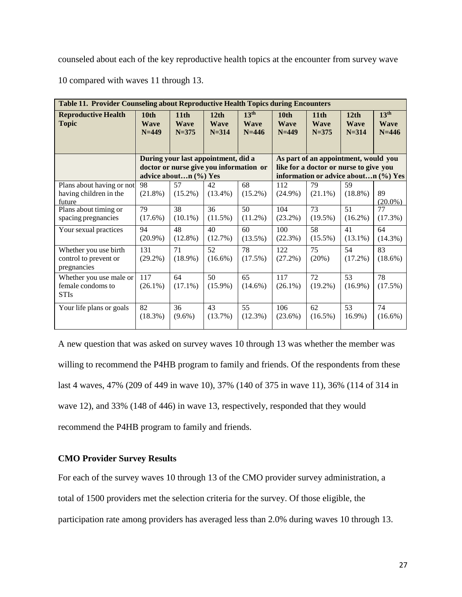counseled about each of the key reproductive health topics at the encounter from survey wave

10 compared with waves 11 through 13.

| <b>Table 11. Provider Counseling about Reproductive Health Topics during Encounters</b> |                                |                                  |                                                                                |                                              |                                            |                                                                                |                                  |                                              |  |  |  |  |
|-----------------------------------------------------------------------------------------|--------------------------------|----------------------------------|--------------------------------------------------------------------------------|----------------------------------------------|--------------------------------------------|--------------------------------------------------------------------------------|----------------------------------|----------------------------------------------|--|--|--|--|
| <b>Reproductive Health</b><br><b>Topic</b>                                              | 10th<br><b>Wave</b><br>$N=449$ | 11th<br><b>Wave</b><br>$N = 375$ | 12th<br><b>Wave</b><br>$N = 314$                                               | 13 <sup>th</sup><br><b>Wave</b><br>$N = 446$ | 10 <sub>th</sub><br><b>Wave</b><br>$N=449$ | 11 <sub>th</sub><br><b>Wave</b><br>$N = 375$                                   | 12th<br><b>Wave</b><br>$N = 314$ | 13 <sup>th</sup><br><b>Wave</b><br>$N = 446$ |  |  |  |  |
|                                                                                         |                                |                                  | During your last appointment, did a<br>doctor or nurse give you information or |                                              |                                            | As part of an appointment, would you<br>like for a doctor or nurse to give you |                                  |                                              |  |  |  |  |
|                                                                                         |                                | advice aboutn (%) Yes            |                                                                                |                                              |                                            | information or advice aboutn (%) Yes                                           |                                  |                                              |  |  |  |  |
| Plans about having or not<br>having children in the<br>future                           | 98<br>$(21.8\%)$               | 57<br>$(15.2\%)$                 | 42<br>$(13.4\%)$                                                               | 68<br>$(15.2\%)$                             | 112<br>$(24.9\%)$                          | 79<br>$(21.1\%)$                                                               | 59<br>$(18.8\%)$                 | 89<br>$(20.0\%)$                             |  |  |  |  |
| Plans about timing or<br>spacing pregnancies                                            | 79<br>$(17.6\%)$               | 38<br>$(10.1\%)$                 | 36<br>$(11.5\%)$                                                               | 50<br>$(11.2\%)$                             | 104<br>$(23.2\%)$                          | 73<br>$(19.5\%)$                                                               | 51<br>$(16.2\%)$                 | 77<br>(17.3%)                                |  |  |  |  |
| Your sexual practices                                                                   | 94<br>$(20.9\%)$               | 48<br>$(12.8\%)$                 | 40<br>(12.7%)                                                                  | 60<br>$(13.5\%)$                             | 100<br>(22.3%)                             | 58<br>$(15.5\%)$                                                               | 41<br>$(13.1\%)$                 | 64<br>$(14.3\%)$                             |  |  |  |  |
| Whether you use birth<br>control to prevent or<br>pregnancies                           | 131<br>$(29.2\%)$              | 71<br>$(18.9\%)$                 | 52<br>$(16.6\%)$                                                               | 78<br>$(17.5\%)$                             | 122<br>$(27.2\%)$                          | 75<br>(20%)                                                                    | 54<br>$(17.2\%)$                 | 83<br>$(18.6\%)$                             |  |  |  |  |
| Whether you use male or<br>female condoms to<br><b>STIs</b>                             | 117<br>$(26.1\%)$              | 64<br>$(17.1\%)$                 | 50<br>$(15.9\%)$                                                               | 65<br>$(14.6\%)$                             | 117<br>$(26.1\%)$                          | 72<br>$(19.2\%)$                                                               | 53<br>$(16.9\%)$                 | 78<br>$(17.5\%)$                             |  |  |  |  |
| Your life plans or goals                                                                | 82<br>$(18.3\%)$               | 36<br>$(9.6\%)$                  | 43<br>(13.7%)                                                                  | 55<br>$(12.3\%)$                             | 106<br>$(23.6\%)$                          | 62<br>$(16.5\%)$                                                               | 53<br>16.9%)                     | 74<br>$(16.6\%)$                             |  |  |  |  |

A new question that was asked on survey waves 10 through 13 was whether the member was willing to recommend the P4HB program to family and friends. Of the respondents from these last 4 waves, 47% (209 of 449 in wave 10), 37% (140 of 375 in wave 11), 36% (114 of 314 in wave 12), and 33% (148 of 446) in wave 13, respectively, responded that they would recommend the P4HB program to family and friends.

## **CMO Provider Survey Results**

For each of the survey waves 10 through 13 of the CMO provider survey administration, a total of 1500 providers met the selection criteria for the survey. Of those eligible, the participation rate among providers has averaged less than 2.0% during waves 10 through 13.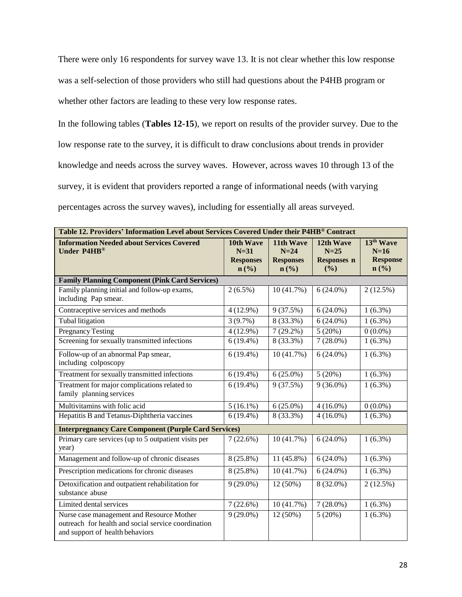There were only 16 respondents for survey wave 13. It is not clear whether this low response was a self-selection of those providers who still had questions about the P4HB program or whether other factors are leading to these very low response rates.

In the following tables (**Tables 12-15**), we report on results of the provider survey. Due to the low response rate to the survey, it is difficult to draw conclusions about trends in provider knowledge and needs across the survey waves. However, across waves 10 through 13 of the survey, it is evident that providers reported a range of informational needs (with varying percentages across the survey waves), including for essentially all areas surveyed.

| Table 12. Providers' Information Level about Services Covered Under their P4HB® Contract                                            |                                                                        |                                                                        |                                                  |                                                             |  |  |  |  |  |
|-------------------------------------------------------------------------------------------------------------------------------------|------------------------------------------------------------------------|------------------------------------------------------------------------|--------------------------------------------------|-------------------------------------------------------------|--|--|--|--|--|
| <b>Information Needed about Services Covered</b><br>Under P4HB®                                                                     | 10th Wave<br>$N=31$<br><b>Responses</b><br>$n\left(\frac{0}{0}\right)$ | 11th Wave<br>$N=24$<br><b>Responses</b><br>$n\left(\frac{0}{0}\right)$ | 12th Wave<br>$N=25$<br><b>Responses n</b><br>(%) | 13 <sup>th</sup> Wave<br>$N=16$<br><b>Response</b><br>n (%) |  |  |  |  |  |
| <b>Family Planning Component (Pink Card Services)</b>                                                                               |                                                                        |                                                                        |                                                  |                                                             |  |  |  |  |  |
| Family planning initial and follow-up exams,                                                                                        | $2(6.5\%)$                                                             | 10 (41.7%)                                                             | $6(24.0\%)$                                      | $2(12.5\%)$                                                 |  |  |  |  |  |
| including Pap smear.                                                                                                                |                                                                        |                                                                        |                                                  |                                                             |  |  |  |  |  |
| Contraceptive services and methods                                                                                                  | $4(12.9\%)$                                                            | 9(37.5%)                                                               | $6(24.0\%)$                                      | $1(6.3\%)$                                                  |  |  |  |  |  |
| Tubal litigation                                                                                                                    | $3(9.7\%)$                                                             | 8 (33.3%)                                                              | $6(24.0\%)$                                      | $1(6.3\%)$                                                  |  |  |  |  |  |
| <b>Pregnancy Testing</b>                                                                                                            | $4(12.9\%)$                                                            | $7(29.2\%)$                                                            | 5(20%)                                           | $0(0.0\%)$                                                  |  |  |  |  |  |
| Screening for sexually transmitted infections                                                                                       | $6(19.4\%)$                                                            | 8 (33.3%)                                                              | $7(28.0\%)$                                      | $1(6.3\%)$                                                  |  |  |  |  |  |
| Follow-up of an abnormal Pap smear,<br>including colposcopy                                                                         | $6(19.4\%)$                                                            | 10(41.7%)                                                              | $6(24.0\%)$                                      | $1(6.3\%)$                                                  |  |  |  |  |  |
| Treatment for sexually transmitted infections                                                                                       | $6(19.4\%)$                                                            | $6(25.0\%)$                                                            | 5(20%)                                           | $1(6.3\%)$                                                  |  |  |  |  |  |
| Treatment for major complications related to<br>family planning services                                                            | $6(19.4\%)$                                                            | 9(37.5%)                                                               | $9(36.0\%)$                                      | $1(6.3\%)$                                                  |  |  |  |  |  |
| Multivitamins with folic acid                                                                                                       | $5(16.1\%)$                                                            | $6(25.0\%)$                                                            | $4(16.0\%)$                                      | $0(0.0\%)$                                                  |  |  |  |  |  |
| Hepatitis B and Tetanus-Diphtheria vaccines                                                                                         | $6(19.4\%)$                                                            | 8 (33.3%)                                                              | $4(16.0\%)$                                      | $1(6.3\%)$                                                  |  |  |  |  |  |
| <b>Interpregnancy Care Component (Purple Card Services)</b>                                                                         |                                                                        |                                                                        |                                                  |                                                             |  |  |  |  |  |
| Primary care services (up to 5 outpatient visits per<br>year)                                                                       | $7(22.6\%)$                                                            | 10(41.7%)                                                              | $6(24.0\%)$                                      | $1(6.3\%)$                                                  |  |  |  |  |  |
| Management and follow-up of chronic diseases                                                                                        | 8 (25.8%)                                                              | 11 (45.8%)                                                             | $6(24.0\%)$                                      | $1(6.3\%)$                                                  |  |  |  |  |  |
| Prescription medications for chronic diseases                                                                                       | 8 (25.8%)                                                              | 10(41.7%)                                                              | $6(24.0\%)$                                      | $1(6.3\%)$                                                  |  |  |  |  |  |
| Detoxification and outpatient rehabilitation for<br>substance abuse                                                                 | $9(29.0\%)$                                                            | 12 (50%)                                                               | 8 (32.0%)                                        | $2(12.5\%)$                                                 |  |  |  |  |  |
| Limited dental services                                                                                                             | 7(22.6%)                                                               | 10(41.7%)                                                              | $7(28.0\%)$                                      | $1(6.3\%)$                                                  |  |  |  |  |  |
| Nurse case management and Resource Mother<br>outreach for health and social service coordination<br>and support of health behaviors | $9(29.0\%)$                                                            | 12 (50%)                                                               | 5(20%)                                           | $1(6.3\%)$                                                  |  |  |  |  |  |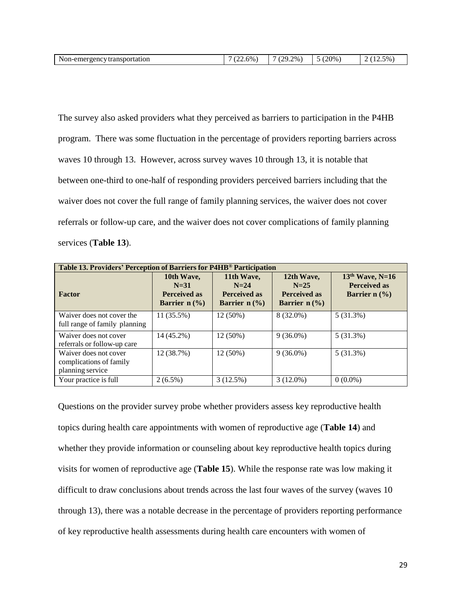| $\mathbf{v}$<br>Non-emergency transportation | $(22.6\%$ | $2\%$ ,<br>(20<br>, <u>, ,</u><br>$\sim$ | $(20\%)$ | $5\%$ ,<br>. <i>.</i> |
|----------------------------------------------|-----------|------------------------------------------|----------|-----------------------|
|----------------------------------------------|-----------|------------------------------------------|----------|-----------------------|

The survey also asked providers what they perceived as barriers to participation in the P4HB program. There was some fluctuation in the percentage of providers reporting barriers across waves 10 through 13. However, across survey waves 10 through 13, it is notable that between one-third to one-half of responding providers perceived barriers including that the waiver does not cover the full range of family planning services, the waiver does not cover referrals or follow-up care, and the waiver does not cover complications of family planning services (**Table 13**).

| Table 13. Providers' Perception of Barriers for P4HB® Participation  |                                                                |                                                                |                                                                |                                                                                  |  |  |  |  |  |  |
|----------------------------------------------------------------------|----------------------------------------------------------------|----------------------------------------------------------------|----------------------------------------------------------------|----------------------------------------------------------------------------------|--|--|--|--|--|--|
| <b>Factor</b>                                                        | 10th Wave,<br>$N=31$<br><b>Perceived as</b><br>Barrier $n$ (%) | 11th Wave,<br>$N=24$<br><b>Perceived as</b><br>Barrier $n$ (%) | 12th Wave,<br>$N=25$<br><b>Perceived as</b><br>Barrier $n(\%)$ | 13th Wave, N=16<br><b>Perceived as</b><br>Barrier $n$ $\left(\frac{9}{6}\right)$ |  |  |  |  |  |  |
| Waiver does not cover the<br>full range of family planning           | 11 (35.5%)                                                     | 12 (50%)                                                       | 8 (32.0%)                                                      | 5(31.3%)                                                                         |  |  |  |  |  |  |
| Waiver does not cover<br>referrals or follow-up care                 | 14 (45.2%)                                                     | 12 (50%)                                                       | $9(36.0\%)$                                                    | 5(31.3%)                                                                         |  |  |  |  |  |  |
| Waiver does not cover<br>complications of family<br>planning service | 12 (38.7%)                                                     | 12 (50%)                                                       | $9(36.0\%)$                                                    | 5(31.3%)                                                                         |  |  |  |  |  |  |
| Your practice is full                                                | $2(6.5\%)$                                                     | 3(12.5%)                                                       | $3(12.0\%)$                                                    | $0(0.0\%)$                                                                       |  |  |  |  |  |  |

Questions on the provider survey probe whether providers assess key reproductive health topics during health care appointments with women of reproductive age (**Table 14**) and whether they provide information or counseling about key reproductive health topics during visits for women of reproductive age (**Table 15**). While the response rate was low making it difficult to draw conclusions about trends across the last four waves of the survey (waves 10 through 13), there was a notable decrease in the percentage of providers reporting performance of key reproductive health assessments during health care encounters with women of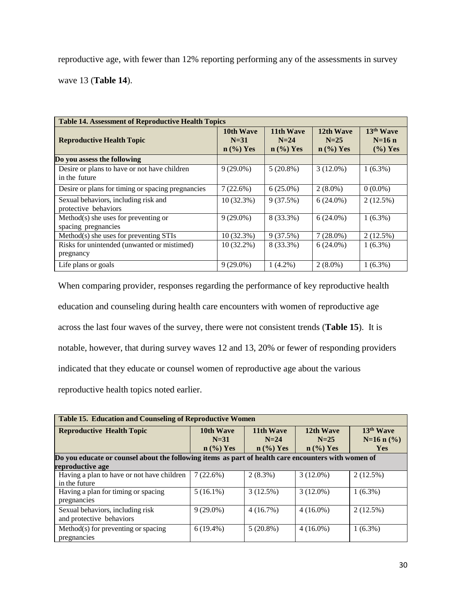reproductive age, with fewer than 12% reporting performing any of the assessments in survey wave 13 (**Table 14**).

| <b>Table 14. Assessment of Reproductive Health Topics</b>     |                                    |                                    |                                    |                                     |  |  |  |  |  |
|---------------------------------------------------------------|------------------------------------|------------------------------------|------------------------------------|-------------------------------------|--|--|--|--|--|
| <b>Reproductive Health Topic</b>                              | 10th Wave<br>$N=31$<br>$n$ (%) Yes | 11th Wave<br>$N=24$<br>$n$ (%) Yes | 12th Wave<br>$N=25$<br>$n$ (%) Yes | 13th Wave<br>$N=16$ n<br>$(\%)$ Yes |  |  |  |  |  |
| Do you assess the following                                   |                                    |                                    |                                    |                                     |  |  |  |  |  |
| Desire or plans to have or not have children<br>in the future | $9(29.0\%)$                        | $5(20.8\%)$                        | $3(12.0\%)$                        | $1(6.3\%)$                          |  |  |  |  |  |
| Desire or plans for timing or spacing pregnancies             | 7(22.6%)                           | $6(25.0\%)$                        | $2(8.0\%)$                         | $0(0.0\%)$                          |  |  |  |  |  |
| Sexual behaviors, including risk and<br>protective behaviors  | 10(32.3%)                          | 9(37.5%)                           | $6(24.0\%)$                        | $2(12.5\%)$                         |  |  |  |  |  |
| $Method(s)$ she uses for preventing or<br>spacing pregnancies | $9(29.0\%)$                        | 8 (33.3%)                          | $6(24.0\%)$                        | $1(6.3\%)$                          |  |  |  |  |  |
| Method(s) she uses for preventing STIs                        | $10(32.3\%)$                       | 9(37.5%)                           | $7(28.0\%)$                        | $2(12.5\%)$                         |  |  |  |  |  |
| Risks for unintended (unwanted or mistimed)<br>pregnancy      | 10 (32.2%)                         | 8 (33.3%)                          | $6(24.0\%)$                        | $1(6.3\%)$                          |  |  |  |  |  |
| Life plans or goals                                           | $9(29.0\%)$                        | $1(4.2\%)$                         | $2(8.0\%)$                         | $1(6.3\%)$                          |  |  |  |  |  |

When comparing provider, responses regarding the performance of key reproductive health education and counseling during health care encounters with women of reproductive age across the last four waves of the survey, there were not consistent trends (**Table 15**). It is notable, however, that during survey waves 12 and 13, 20% or fewer of responding providers indicated that they educate or counsel women of reproductive age about the various reproductive health topics noted earlier.

| <b>Table 15. Education and Counseling of Reproductive Women</b> |                                                                                                     |             |             |                       |  |  |  |  |  |  |
|-----------------------------------------------------------------|-----------------------------------------------------------------------------------------------------|-------------|-------------|-----------------------|--|--|--|--|--|--|
| <b>Reproductive Health Topic</b>                                | 11th Wave<br>10th Wave                                                                              |             | 12th Wave   | 13 <sup>th</sup> Wave |  |  |  |  |  |  |
|                                                                 | $N=31$                                                                                              | $N=24$      | $N=25$      | $N=16$ n $(\% )$      |  |  |  |  |  |  |
|                                                                 | $n \left(\frac{9}{6}\right)$ Yes                                                                    | $n$ (%) Yes | $n$ (%) Yes | <b>Yes</b>            |  |  |  |  |  |  |
|                                                                 | Do you educate or counsel about the following items as part of health care encounters with women of |             |             |                       |  |  |  |  |  |  |
| reproductive age                                                |                                                                                                     |             |             |                       |  |  |  |  |  |  |
| Having a plan to have or not have children                      | 7(22.6%)                                                                                            | $2(8.3\%)$  | $3(12.0\%)$ | $2(12.5\%)$           |  |  |  |  |  |  |
| in the future                                                   |                                                                                                     |             |             |                       |  |  |  |  |  |  |
| Having a plan for timing or spacing                             | $5(16.1\%)$                                                                                         | 3(12.5%)    | $3(12.0\%)$ | $1(6.3\%)$            |  |  |  |  |  |  |
| pregnancies                                                     |                                                                                                     |             |             |                       |  |  |  |  |  |  |
| Sexual behaviors, including risk                                | $9(29.0\%)$                                                                                         | 4(16.7%)    | $4(16.0\%)$ | $2(12.5\%)$           |  |  |  |  |  |  |
| and protective behaviors                                        |                                                                                                     |             |             |                       |  |  |  |  |  |  |
| Method(s) for preventing or spacing                             | $6(19.4\%)$                                                                                         | $5(20.8\%)$ | $4(16.0\%)$ | $1(6.3\%)$            |  |  |  |  |  |  |
| pregnancies                                                     |                                                                                                     |             |             |                       |  |  |  |  |  |  |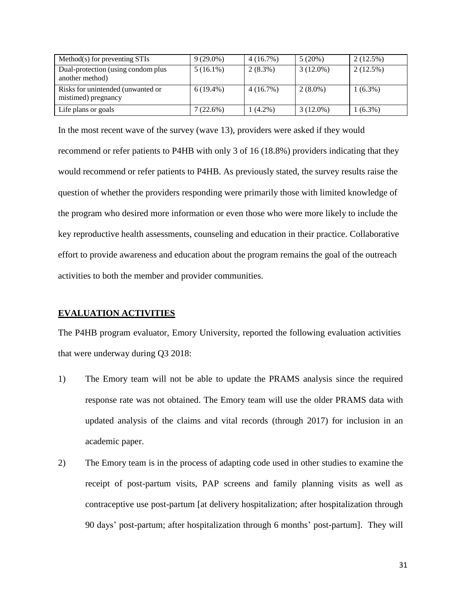| Method(s) for preventing STIs                            | $9(29.0\%)$ | $4(16.7\%)$ | 5(20%)      | $2(12.5\%)$ |
|----------------------------------------------------------|-------------|-------------|-------------|-------------|
| Dual-protection (using condom plus)<br>another method)   | $5(16.1\%)$ | $2(8.3\%)$  | $3(12.0\%)$ | $2(12.5\%)$ |
| Risks for unintended (unwanted or<br>mistimed) pregnancy | $6(19.4\%)$ | $4(16.7\%)$ | $2(8.0\%)$  | $(6.3\%)$   |
| Life plans or goals                                      | 7(22.6%)    | $1(4.2\%)$  | $3(12.0\%)$ | $(6.3\%)$   |

In the most recent wave of the survey (wave 13), providers were asked if they would recommend or refer patients to P4HB with only 3 of 16 (18.8%) providers indicating that they would recommend or refer patients to P4HB. As previously stated, the survey results raise the question of whether the providers responding were primarily those with limited knowledge of the program who desired more information or even those who were more likely to include the key reproductive health assessments, counseling and education in their practice. Collaborative effort to provide awareness and education about the program remains the goal of the outreach activities to both the member and provider communities.

## **EVALUATION ACTIVITIES**

The P4HB program evaluator, Emory University, reported the following evaluation activities that were underway during Q3 2018:

- 1) The Emory team will not be able to update the PRAMS analysis since the required response rate was not obtained. The Emory team will use the older PRAMS data with updated analysis of the claims and vital records (through 2017) for inclusion in an academic paper.
- 2) The Emory team is in the process of adapting code used in other studies to examine the receipt of post-partum visits, PAP screens and family planning visits as well as contraceptive use post-partum [at delivery hospitalization; after hospitalization through 90 days' post-partum; after hospitalization through 6 months' post-partum]. They will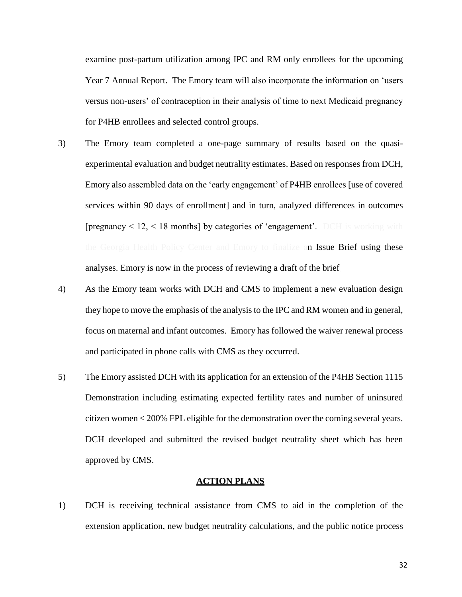examine post-partum utilization among IPC and RM only enrollees for the upcoming Year 7 Annual Report. The Emory team will also incorporate the information on 'users versus non-users' of contraception in their analysis of time to next Medicaid pregnancy for P4HB enrollees and selected control groups.

- 3) The Emory team completed a one-page summary of results based on the quasiexperimental evaluation and budget neutrality estimates. Based on responses from DCH, Emory also assembled data on the 'early engagement' of P4HB enrollees [use of covered services within 90 days of enrollment] and in turn, analyzed differences in outcomes  $[pregnancy < 12, < 18$  months by categories of 'engagement'. DCH is working with the Georgia Health Policy Center and Emory to finalize an Issue Brief using these analyses. Emory is now in the process of reviewing a draft of the brief.
- 4) As the Emory team works with DCH and CMS to implement a new evaluation design they hope to move the emphasis of the analysis to the IPC and RM women and in general, focus on maternal and infant outcomes. Emory has followed the waiver renewal process and participated in phone calls with CMS as they occurred.
- 5) The Emory assisted DCH with its application for an extension of the P4HB Section 1115 Demonstration including estimating expected fertility rates and number of uninsured citizen women < 200% FPL eligible for the demonstration over the coming several years. DCH developed and submitted the revised budget neutrality sheet which has been approved by CMS.

## **ACTION PLANS**

1) DCH is receiving technical assistance from CMS to aid in the completion of the extension application, new budget neutrality calculations, and the public notice process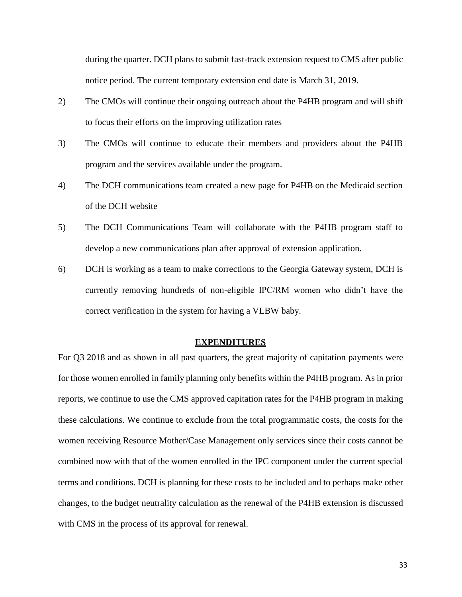during the quarter. DCH plans to submit fast-track extension request to CMS after public notice period. The current temporary extension end date is March 31, 2019.

- 2) The CMOs will continue their ongoing outreach about the P4HB program and will shift to focus their efforts on the improving utilization rates
- 3) The CMOs will continue to educate their members and providers about the P4HB program and the services available under the program.
- 4) The DCH communications team created a new page for P4HB on the Medicaid section of the DCH website
- 5) The DCH Communications Team will collaborate with the P4HB program staff to develop a new communications plan after approval of extension application.
- 6) DCH is working as a team to make corrections to the Georgia Gateway system, DCH is currently removing hundreds of non-eligible IPC/RM women who didn't have the correct verification in the system for having a VLBW baby.

### **EXPENDITURES**

For Q3 2018 and as shown in all past quarters, the great majority of capitation payments were for those women enrolled in family planning only benefits within the P4HB program. As in prior reports, we continue to use the CMS approved capitation rates for the P4HB program in making these calculations. We continue to exclude from the total programmatic costs, the costs for the women receiving Resource Mother/Case Management only services since their costs cannot be combined now with that of the women enrolled in the IPC component under the current special terms and conditions. DCH is planning for these costs to be included and to perhaps make other changes, to the budget neutrality calculation as the renewal of the P4HB extension is discussed with CMS in the process of its approval for renewal.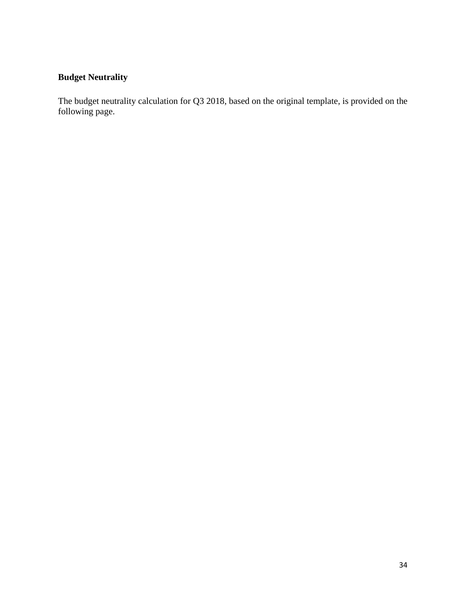# **Budget Neutrality**

The budget neutrality calculation for Q3 2018, based on the original template, is provided on the following page.